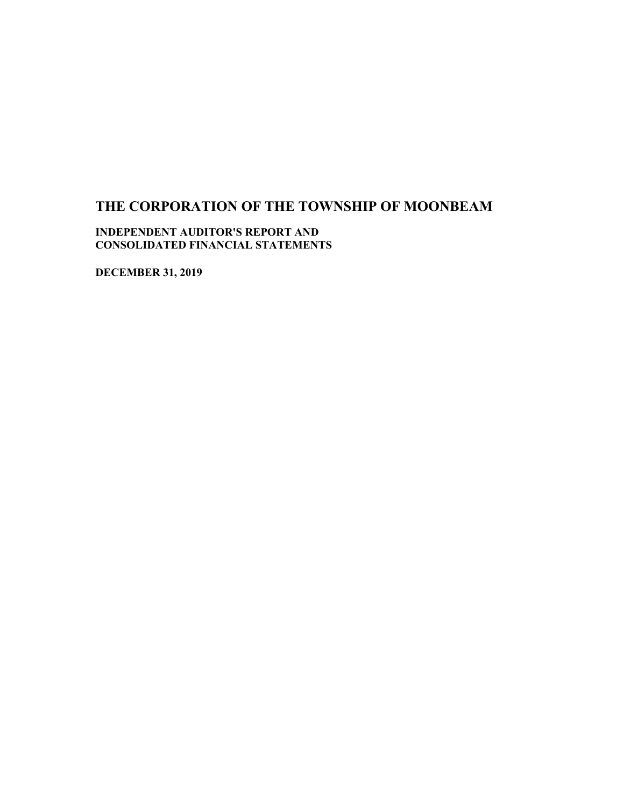**INDEPENDENT AUDITOR'S REPORT AND CONSOLIDATED FINANCIAL STATEMENTS**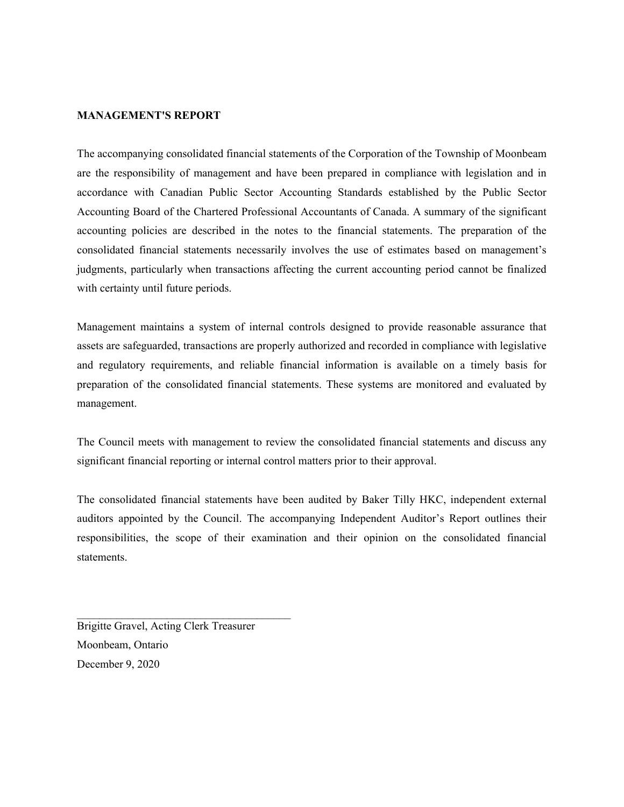#### **MANAGEMENT'S REPORT**

The accompanying consolidated financial statements of the Corporation of the Township of Moonbeam are the responsibility of management and have been prepared in compliance with legislation and in accordance with Canadian Public Sector Accounting Standards established by the Public Sector Accounting Board of the Chartered Professional Accountants of Canada. A summary of the significant accounting policies are described in the notes to the financial statements. The preparation of the consolidated financial statements necessarily involves the use of estimates based on management's judgments, particularly when transactions affecting the current accounting period cannot be finalized with certainty until future periods.

Management maintains a system of internal controls designed to provide reasonable assurance that assets are safeguarded, transactions are properly authorized and recorded in compliance with legislative and regulatory requirements, and reliable financial information is available on a timely basis for preparation of the consolidated financial statements. These systems are monitored and evaluated by management.

The Council meets with management to review the consolidated financial statements and discuss any significant financial reporting or internal control matters prior to their approval.

The consolidated financial statements have been audited by Baker Tilly HKC, independent external auditors appointed by the Council. The accompanying Independent Auditor's Report outlines their responsibilities, the scope of their examination and their opinion on the consolidated financial statements.

Brigitte Gravel, Acting Clerk Treasurer Moonbeam, Ontario December 9, 2020

 $\mathcal{L}_\text{max}$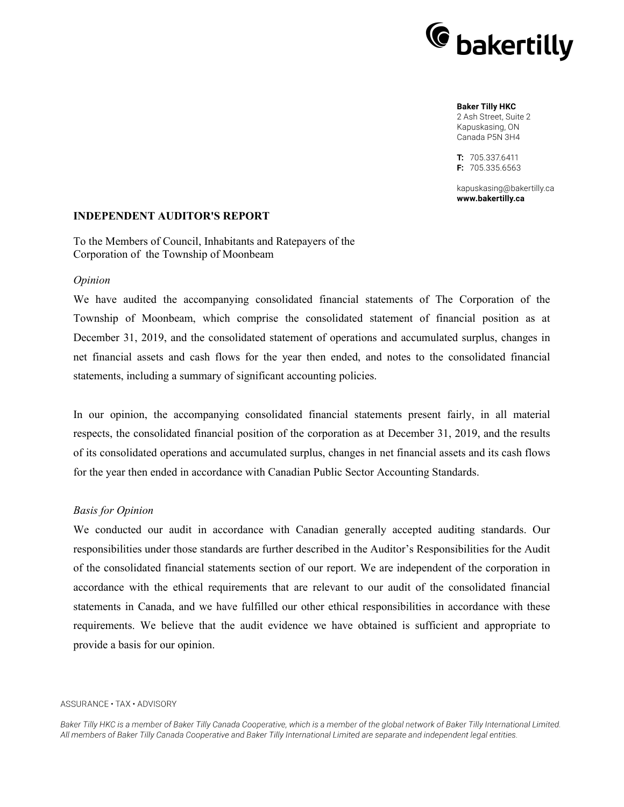

**Baker Tilly HKC** 2 Ash Street, Suite 2 Kapuskasing, ON Canada P5N 3H4

T: 705.337.6411  $F: 705.335.6563$ 

kapuskasing@bakertilly.ca www.bakertilly.ca

#### **INDEPENDENT AUDITOR'S REPORT**

To the Members of Council, Inhabitants and Ratepayers of the Corporation of the Township of Moonbeam

#### *Opinion*

We have audited the accompanying consolidated financial statements of The Corporation of the Township of Moonbeam, which comprise the consolidated statement of financial position as at December 31, 2019, and the consolidated statement of operations and accumulated surplus, changes in net financial assets and cash flows for the year then ended, and notes to the consolidated financial statements, including a summary of significant accounting policies.

In our opinion, the accompanying consolidated financial statements present fairly, in all material respects, the consolidated financial position of the corporation as at December 31, 2019, and the results of its consolidated operations and accumulated surplus, changes in net financial assets and its cash flows for the year then ended in accordance with Canadian Public Sector Accounting Standards.

#### *Basis for Opinion*

We conducted our audit in accordance with Canadian generally accepted auditing standards. Our responsibilities under those standards are further described in the Auditor's Responsibilities for the Audit of the consolidated financial statements section of our report. We are independent of the corporation in accordance with the ethical requirements that are relevant to our audit of the consolidated financial statements in Canada, and we have fulfilled our other ethical responsibilities in accordance with these requirements. We believe that the audit evidence we have obtained is sufficient and appropriate to provide a basis for our opinion.

#### ASSURANCE · TAX · ADVISORY

Baker Tilly HKC is a member of Baker Tilly Canada Cooperative, which is a member of the global network of Baker Tilly International Limited. All members of Baker Tilly Canada Cooperative and Baker Tilly International Limited are separate and independent legal entities.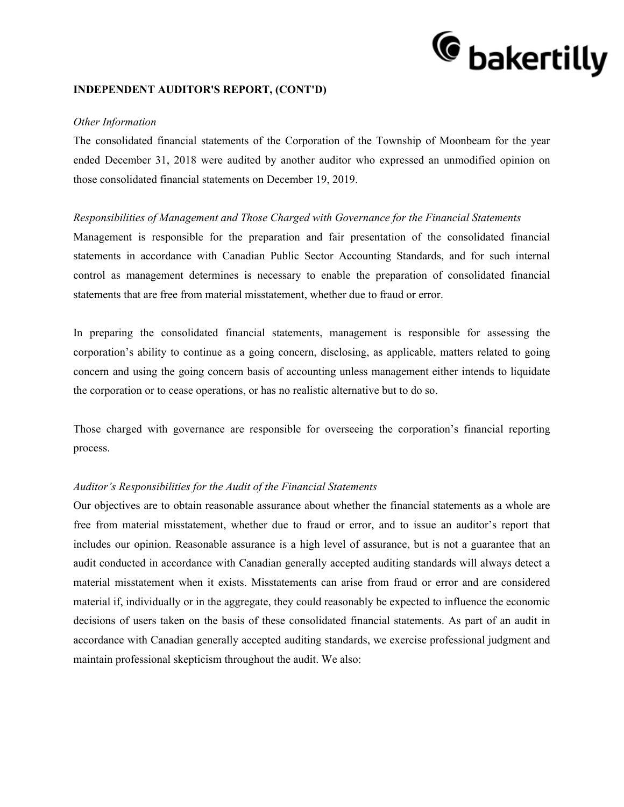# <sup>C</sup> bakertilly

## **INDEPENDENT AUDITOR'S REPORT, (CONT'D)**

#### *Other Information*

The consolidated financial statements of the Corporation of the Township of Moonbeam for the year ended December 31, 2018 were audited by another auditor who expressed an unmodified opinion on those consolidated financial statements on December 19, 2019.

#### *Responsibilities of Management and Those Charged with Governance for the Financial Statements*

Management is responsible for the preparation and fair presentation of the consolidated financial statements in accordance with Canadian Public Sector Accounting Standards, and for such internal control as management determines is necessary to enable the preparation of consolidated financial statements that are free from material misstatement, whether due to fraud or error.

In preparing the consolidated financial statements, management is responsible for assessing the corporation's ability to continue as a going concern, disclosing, as applicable, matters related to going concern and using the going concern basis of accounting unless management either intends to liquidate the corporation or to cease operations, or has no realistic alternative but to do so.

Those charged with governance are responsible for overseeing the corporation's financial reporting process.

#### *Auditor's Responsibilities for the Audit of the Financial Statements*

Our objectives are to obtain reasonable assurance about whether the financial statements as a whole are free from material misstatement, whether due to fraud or error, and to issue an auditor's report that includes our opinion. Reasonable assurance is a high level of assurance, but is not a guarantee that an audit conducted in accordance with Canadian generally accepted auditing standards will always detect a material misstatement when it exists. Misstatements can arise from fraud or error and are considered material if, individually or in the aggregate, they could reasonably be expected to influence the economic decisions of users taken on the basis of these consolidated financial statements. As part of an audit in accordance with Canadian generally accepted auditing standards, we exercise professional judgment and maintain professional skepticism throughout the audit. We also: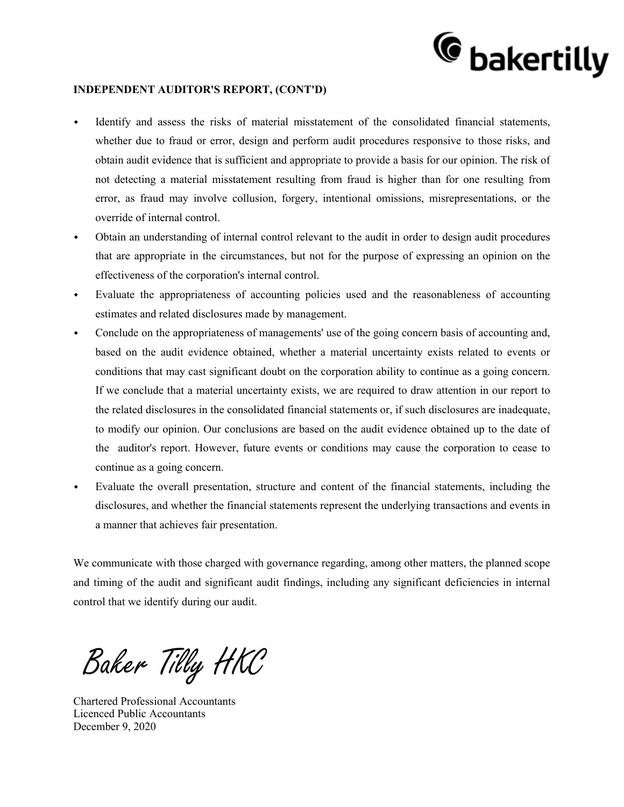

## **INDEPENDENT AUDITOR'S REPORT, (CONT'D)**

- Identify and assess the risks of material misstatement of the consolidated financial statements, whether due to fraud or error, design and perform audit procedures responsive to those risks, and obtain audit evidence that is sufficient and appropriate to provide a basis for our opinion. The risk of not detecting a material misstatement resulting from fraud is higher than for one resulting from error, as fraud may involve collusion, forgery, intentional omissions, misrepresentations, or the override of internal control.
- Obtain an understanding of internal control relevant to the audit in order to design audit procedures that are appropriate in the circumstances, but not for the purpose of expressing an opinion on the effectiveness of the corporation's internal control.
- Evaluate the appropriateness of accounting policies used and the reasonableness of accounting estimates and related disclosures made by management.
- Conclude on the appropriateness of managements' use of the going concern basis of accounting and, based on the audit evidence obtained, whether a material uncertainty exists related to events or conditions that may cast significant doubt on the corporation ability to continue as a going concern. If we conclude that a material uncertainty exists, we are required to draw attention in our report to the related disclosures in the consolidated financial statements or, if such disclosures are inadequate, to modify our opinion. Our conclusions are based on the audit evidence obtained up to the date of the auditor's report. However, future events or conditions may cause the corporation to cease to continue as a going concern.
- Evaluate the overall presentation, structure and content of the financial statements, including the disclosures, and whether the financial statements represent the underlying transactions and events in a manner that achieves fair presentation.

We communicate with those charged with governance regarding, among other matters, the planned scope and timing of the audit and significant audit findings, including any significant deficiencies in internal control that we identify during our audit.

Baker Tilly HKC

Chartered Professional Accountants Licenced Public Accountants December 9, 2020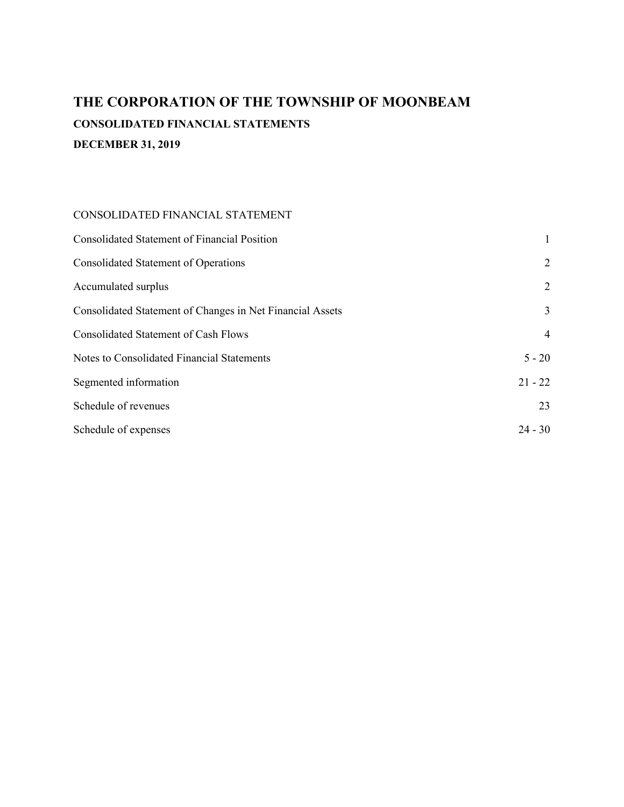# **THE CORPORATION OF THE TOWNSHIP OF MOONBEAM CONSOLIDATED FINANCIAL STATEMENTS DECEMBER 31, 2019**

## CONSOLIDATED FINANCIAL STATEMENT

| <b>Consolidated Statement of Financial Position</b>       |                |
|-----------------------------------------------------------|----------------|
| <b>Consolidated Statement of Operations</b>               | 2              |
| Accumulated surplus                                       | 2              |
| Consolidated Statement of Changes in Net Financial Assets | 3              |
| <b>Consolidated Statement of Cash Flows</b>               | $\overline{4}$ |
| Notes to Consolidated Financial Statements                | $5 - 20$       |
| Segmented information                                     | $21 - 22$      |
| Schedule of revenues                                      | 23             |
| Schedule of expenses                                      | $24 - 30$      |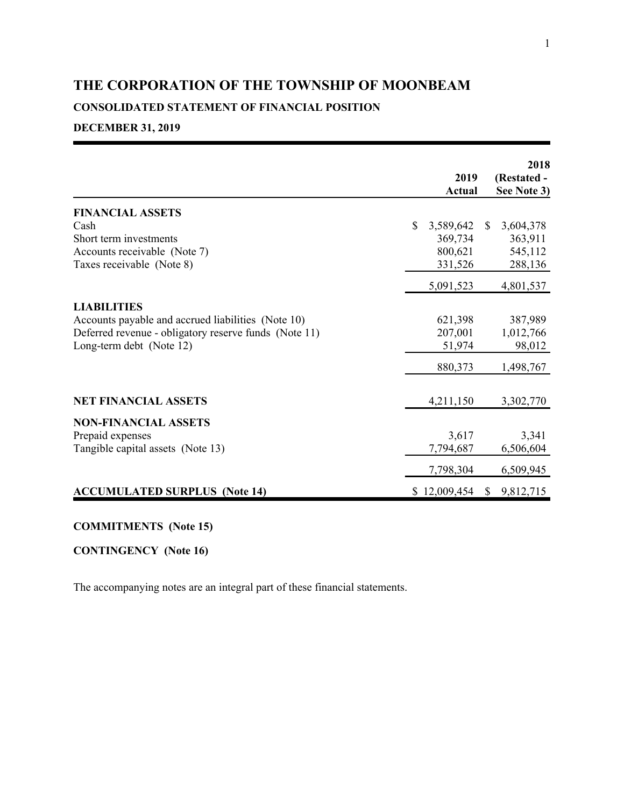## **CONSOLIDATED STATEMENT OF FINANCIAL POSITION**

## **DECEMBER 31, 2019**

|                                                       |              | 2019<br>Actual |              | 2018<br>(Restated -<br>See Note 3) |
|-------------------------------------------------------|--------------|----------------|--------------|------------------------------------|
| <b>FINANCIAL ASSETS</b>                               |              |                |              |                                    |
| Cash                                                  | $\mathbb{S}$ | 3,589,642      | <sup>S</sup> | 3,604,378                          |
| Short term investments                                |              | 369,734        |              | 363,911                            |
| Accounts receivable (Note 7)                          |              | 800,621        |              | 545,112                            |
| Taxes receivable (Note 8)                             |              | 331,526        |              | 288,136                            |
|                                                       |              | 5,091,523      |              | 4,801,537                          |
| <b>LIABILITIES</b>                                    |              |                |              |                                    |
| Accounts payable and accrued liabilities (Note 10)    |              | 621,398        |              | 387,989                            |
| Deferred revenue - obligatory reserve funds (Note 11) |              | 207,001        |              | 1,012,766                          |
| Long-term debt (Note 12)                              |              | 51,974         |              | 98,012                             |
|                                                       |              | 880,373        |              | 1,498,767                          |
|                                                       |              |                |              |                                    |
| <b>NET FINANCIAL ASSETS</b>                           |              | 4,211,150      |              | 3,302,770                          |
| <b>NON-FINANCIAL ASSETS</b>                           |              |                |              |                                    |
| Prepaid expenses                                      |              | 3,617          |              | 3,341                              |
| Tangible capital assets (Note 13)                     |              | 7,794,687      |              | 6,506,604                          |
|                                                       |              | 7,798,304      |              | 6,509,945                          |
| <b>ACCUMULATED SURPLUS (Note 14)</b>                  |              | \$12,009,454   | <sup>S</sup> | 9,812,715                          |

## **COMMITMENTS (Note 15)**

**CONTINGENCY (Note 16)**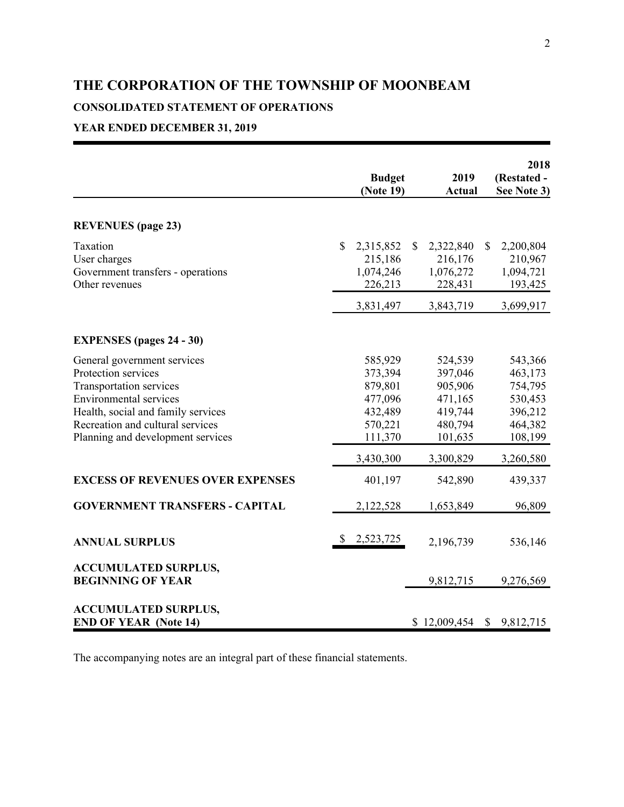# **CONSOLIDATED STATEMENT OF OPERATIONS**

## **YEAR ENDED DECEMBER 31, 2019**

|                                                                                                                                                                                                                               |    | <b>Budget</b><br>(Note 19)                                                |              | 2019<br><b>Actual</b>                                                     |              | 2018<br>(Restated -<br>See Note 3)                                        |
|-------------------------------------------------------------------------------------------------------------------------------------------------------------------------------------------------------------------------------|----|---------------------------------------------------------------------------|--------------|---------------------------------------------------------------------------|--------------|---------------------------------------------------------------------------|
| <b>REVENUES</b> (page 23)                                                                                                                                                                                                     |    |                                                                           |              |                                                                           |              |                                                                           |
| Taxation<br>User charges<br>Government transfers - operations<br>Other revenues                                                                                                                                               | \$ | 2,315,852<br>215,186<br>1,074,246<br>226,213                              | $\mathbb{S}$ | 2,322,840<br>216,176<br>1,076,272<br>228,431                              | $\mathbb{S}$ | 2,200,804<br>210,967<br>1,094,721<br>193,425                              |
|                                                                                                                                                                                                                               |    | 3,831,497                                                                 |              | 3,843,719                                                                 |              | 3,699,917                                                                 |
| <b>EXPENSES</b> (pages 24 - 30)                                                                                                                                                                                               |    |                                                                           |              |                                                                           |              |                                                                           |
| General government services<br>Protection services<br>Transportation services<br><b>Environmental services</b><br>Health, social and family services<br>Recreation and cultural services<br>Planning and development services |    | 585,929<br>373,394<br>879,801<br>477,096<br>432,489<br>570,221<br>111,370 |              | 524,539<br>397,046<br>905,906<br>471,165<br>419,744<br>480,794<br>101,635 |              | 543,366<br>463,173<br>754,795<br>530,453<br>396,212<br>464,382<br>108,199 |
|                                                                                                                                                                                                                               |    | 3,430,300                                                                 |              | 3,300,829                                                                 |              | 3,260,580                                                                 |
| <b>EXCESS OF REVENUES OVER EXPENSES</b>                                                                                                                                                                                       |    | 401,197                                                                   |              | 542,890                                                                   |              | 439,337                                                                   |
| <b>GOVERNMENT TRANSFERS - CAPITAL</b>                                                                                                                                                                                         |    | 2,122,528                                                                 |              | 1,653,849                                                                 |              | 96,809                                                                    |
| <b>ANNUAL SURPLUS</b>                                                                                                                                                                                                         | S. | 2,523,725                                                                 |              | 2,196,739                                                                 |              | 536,146                                                                   |
| <b>ACCUMULATED SURPLUS,</b><br><b>BEGINNING OF YEAR</b>                                                                                                                                                                       |    |                                                                           |              | 9,812,715                                                                 |              | 9,276,569                                                                 |
| <b>ACCUMULATED SURPLUS,</b><br><b>END OF YEAR (Note 14)</b>                                                                                                                                                                   |    |                                                                           |              | $$12,009,454$ $$9,812,715$                                                |              |                                                                           |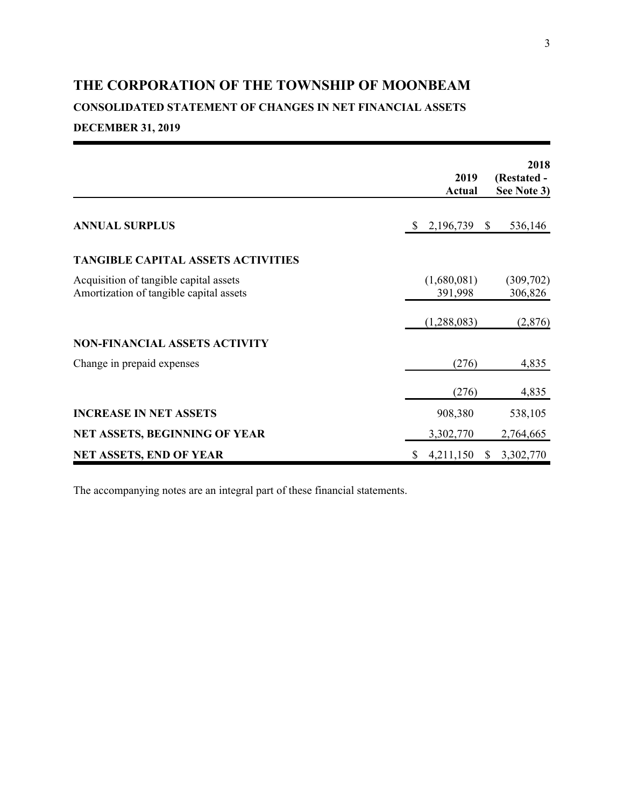# **CONSOLIDATED STATEMENT OF CHANGES IN NET FINANCIAL ASSETS**

**DECEMBER 31, 2019**

|                                                                                   | 2019<br><b>Actual</b>            | 2018<br>(Restated -<br>See Note 3) |
|-----------------------------------------------------------------------------------|----------------------------------|------------------------------------|
| <b>ANNUAL SURPLUS</b>                                                             | 2,196,739<br>\$<br><sup>\$</sup> | 536,146                            |
| <b>TANGIBLE CAPITAL ASSETS ACTIVITIES</b>                                         |                                  |                                    |
| Acquisition of tangible capital assets<br>Amortization of tangible capital assets | (1,680,081)<br>391,998           | (309,702)<br>306,826               |
|                                                                                   | (1,288,083)                      | (2, 876)                           |
| <b>NON-FINANCIAL ASSETS ACTIVITY</b>                                              |                                  |                                    |
| Change in prepaid expenses                                                        | (276)                            | 4,835                              |
|                                                                                   | (276)                            | 4,835                              |
| <b>INCREASE IN NET ASSETS</b>                                                     | 908,380                          | 538,105                            |
| NET ASSETS, BEGINNING OF YEAR                                                     | 3,302,770                        | 2,764,665                          |
| <b>NET ASSETS, END OF YEAR</b>                                                    | 4,211,150<br>\$<br>\$            | 3,302,770                          |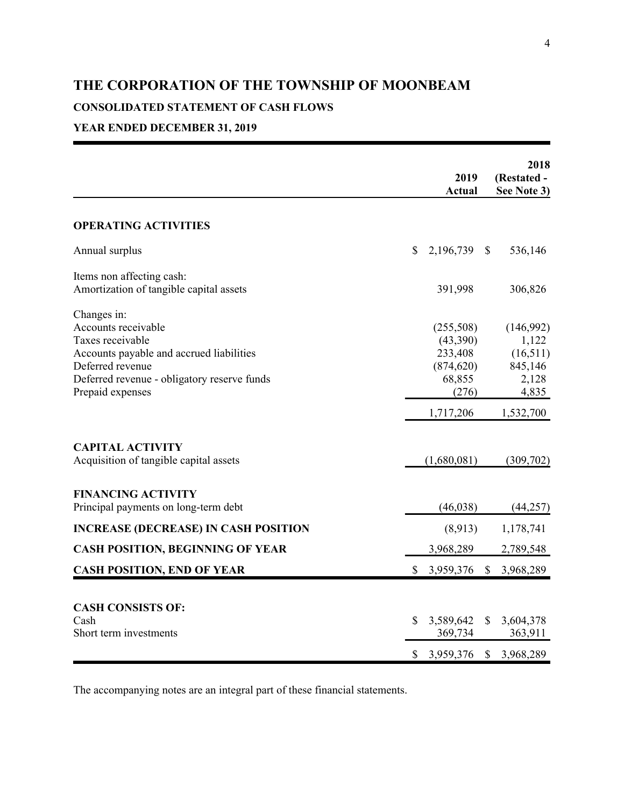# **CONSOLIDATED STATEMENT OF CASH FLOWS**

## **YEAR ENDED DECEMBER 31, 2019**

|                                                                                                                                                                                           |              | 2019<br><b>Actual</b>                                                          |              | 2018<br>(Restated -<br>See Note 3)                                       |
|-------------------------------------------------------------------------------------------------------------------------------------------------------------------------------------------|--------------|--------------------------------------------------------------------------------|--------------|--------------------------------------------------------------------------|
| <b>OPERATING ACTIVITIES</b>                                                                                                                                                               |              |                                                                                |              |                                                                          |
| Annual surplus                                                                                                                                                                            | \$           | 2,196,739 \$                                                                   |              | 536,146                                                                  |
| Items non affecting cash:<br>Amortization of tangible capital assets                                                                                                                      |              | 391,998                                                                        |              | 306,826                                                                  |
| Changes in:<br>Accounts receivable<br>Taxes receivable<br>Accounts payable and accrued liabilities<br>Deferred revenue<br>Deferred revenue - obligatory reserve funds<br>Prepaid expenses |              | (255,508)<br>(43,390)<br>233,408<br>(874, 620)<br>68,855<br>(276)<br>1,717,206 |              | (146,992)<br>1,122<br>(16,511)<br>845,146<br>2,128<br>4,835<br>1,532,700 |
| <b>CAPITAL ACTIVITY</b><br>Acquisition of tangible capital assets                                                                                                                         |              | (1,680,081)                                                                    |              | (309,702)                                                                |
| <b>FINANCING ACTIVITY</b><br>Principal payments on long-term debt                                                                                                                         |              | (46,038)                                                                       |              | (44,257)                                                                 |
| <b>INCREASE (DECREASE) IN CASH POSITION</b>                                                                                                                                               |              | (8,913)                                                                        |              | 1,178,741                                                                |
| <b>CASH POSITION, BEGINNING OF YEAR</b>                                                                                                                                                   |              | 3,968,289                                                                      |              | 2,789,548                                                                |
| <b>CASH POSITION, END OF YEAR</b>                                                                                                                                                         | $\mathbb{S}$ | 3,959,376                                                                      | $\mathbb{S}$ | 3,968,289                                                                |
| <b>CASH CONSISTS OF:</b><br>Cash<br>Short term investments                                                                                                                                | S            | 3,589,642<br>369,734                                                           | $\mathbb{S}$ | 3,604,378<br>363,911                                                     |
|                                                                                                                                                                                           | S.           | 3,959,376                                                                      |              | \$3,968,289                                                              |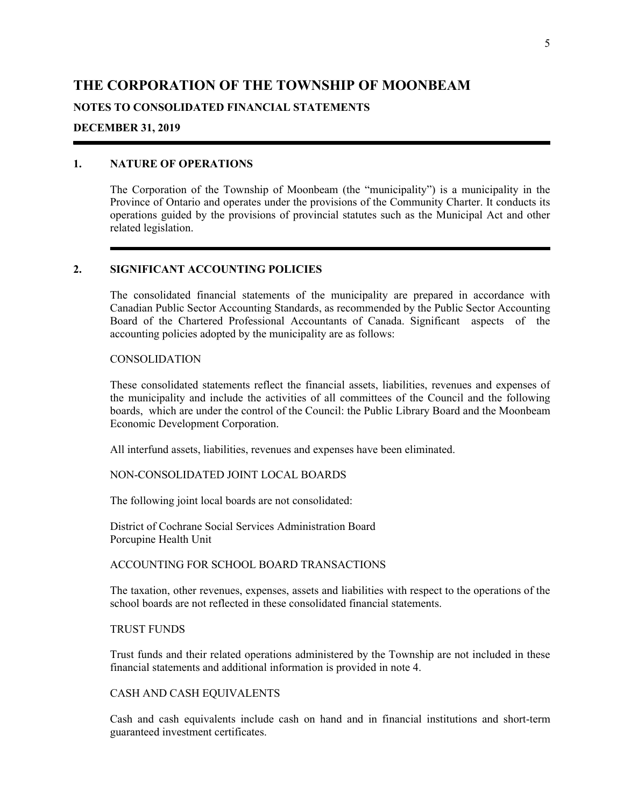## **NOTES TO CONSOLIDATED FINANCIAL STATEMENTS**

### **DECEMBER 31, 2019**

## **1. NATURE OF OPERATIONS**

The Corporation of the Township of Moonbeam (the "municipality") is a municipality in the Province of Ontario and operates under the provisions of the Community Charter. It conducts its operations guided by the provisions of provincial statutes such as the Municipal Act and other related legislation.

## **2. SIGNIFICANT ACCOUNTING POLICIES**

The consolidated financial statements of the municipality are prepared in accordance with Canadian Public Sector Accounting Standards, as recommended by the Public Sector Accounting Board of the Chartered Professional Accountants of Canada. Significant aspects of the accounting policies adopted by the municipality are as follows:

### **CONSOLIDATION**

These consolidated statements reflect the financial assets, liabilities, revenues and expenses of the municipality and include the activities of all committees of the Council and the following boards, which are under the control of the Council: the Public Library Board and the Moonbeam Economic Development Corporation.

All interfund assets, liabilities, revenues and expenses have been eliminated.

#### NON-CONSOLIDATED JOINT LOCAL BOARDS

The following joint local boards are not consolidated:

District of Cochrane Social Services Administration Board Porcupine Health Unit

#### ACCOUNTING FOR SCHOOL BOARD TRANSACTIONS

The taxation, other revenues, expenses, assets and liabilities with respect to the operations of the school boards are not reflected in these consolidated financial statements.

#### TRUST FUNDS

Trust funds and their related operations administered by the Township are not included in these financial statements and additional information is provided in note 4.

#### CASH AND CASH EQUIVALENTS

Cash and cash equivalents include cash on hand and in financial institutions and short-term guaranteed investment certificates.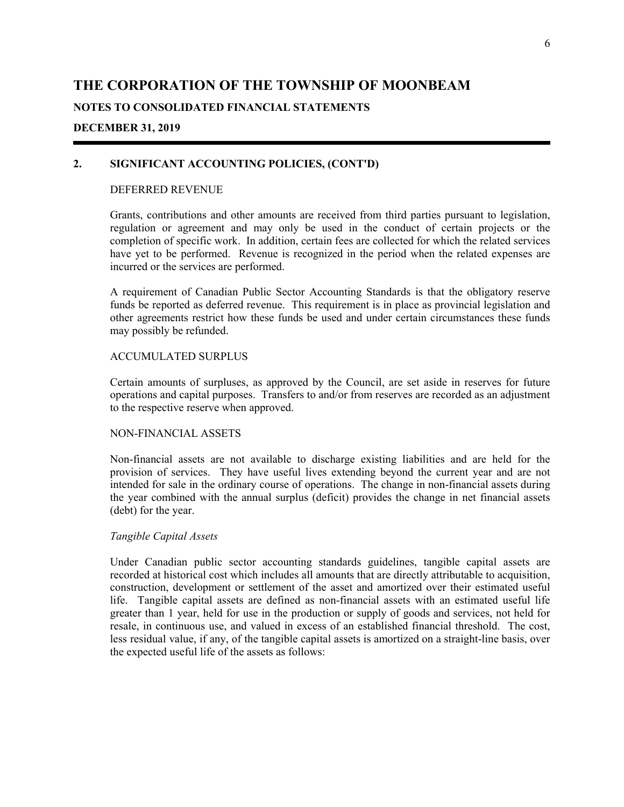## **NOTES TO CONSOLIDATED FINANCIAL STATEMENTS**

## **DECEMBER 31, 2019**

## **2. SIGNIFICANT ACCOUNTING POLICIES, (CONT'D)**

#### DEFERRED REVENUE

Grants, contributions and other amounts are received from third parties pursuant to legislation, regulation or agreement and may only be used in the conduct of certain projects or the completion of specific work. In addition, certain fees are collected for which the related services have yet to be performed. Revenue is recognized in the period when the related expenses are incurred or the services are performed.

A requirement of Canadian Public Sector Accounting Standards is that the obligatory reserve funds be reported as deferred revenue. This requirement is in place as provincial legislation and other agreements restrict how these funds be used and under certain circumstances these funds may possibly be refunded.

## ACCUMULATED SURPLUS

Certain amounts of surpluses, as approved by the Council, are set aside in reserves for future operations and capital purposes. Transfers to and/or from reserves are recorded as an adjustment to the respective reserve when approved.

## NON-FINANCIAL ASSETS

Non-financial assets are not available to discharge existing liabilities and are held for the provision of services. They have useful lives extending beyond the current year and are not intended for sale in the ordinary course of operations. The change in non-financial assets during the year combined with the annual surplus (deficit) provides the change in net financial assets (debt) for the year.

#### *Tangible Capital Assets*

Under Canadian public sector accounting standards guidelines, tangible capital assets are recorded at historical cost which includes all amounts that are directly attributable to acquisition, construction, development or settlement of the asset and amortized over their estimated useful life. Tangible capital assets are defined as non-financial assets with an estimated useful life greater than 1 year, held for use in the production or supply of goods and services, not held for resale, in continuous use, and valued in excess of an established financial threshold. The cost, less residual value, if any, of the tangible capital assets is amortized on a straight-line basis, over the expected useful life of the assets as follows: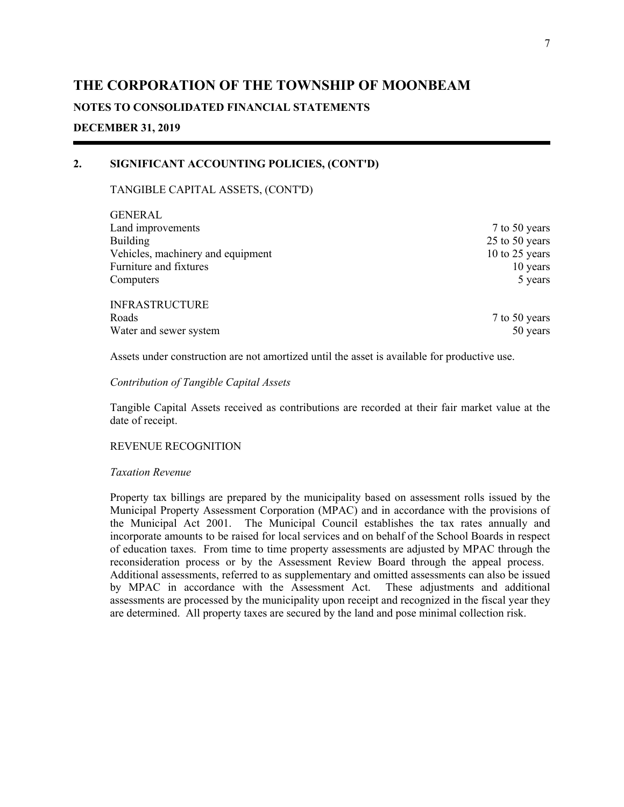## **NOTES TO CONSOLIDATED FINANCIAL STATEMENTS**

## **DECEMBER 31, 2019**

## **2. SIGNIFICANT ACCOUNTING POLICIES, (CONT'D)**

## TANGIBLE CAPITAL ASSETS, (CONT'D)

| 7 to 50 years  |
|----------------|
| 25 to 50 years |
| 10 to 25 years |
| 10 years       |
| 5 years        |
|                |
| 7 to 50 years  |
| 50 years       |
|                |

Assets under construction are not amortized until the asset is available for productive use.

## *Contribution of Tangible Capital Assets*

Tangible Capital Assets received as contributions are recorded at their fair market value at the date of receipt.

#### REVENUE RECOGNITION

## *Taxation Revenue*

Property tax billings are prepared by the municipality based on assessment rolls issued by the Municipal Property Assessment Corporation (MPAC) and in accordance with the provisions of the Municipal Act 2001. The Municipal Council establishes the tax rates annually and incorporate amounts to be raised for local services and on behalf of the School Boards in respect of education taxes. From time to time property assessments are adjusted by MPAC through the reconsideration process or by the Assessment Review Board through the appeal process. Additional assessments, referred to as supplementary and omitted assessments can also be issued by MPAC in accordance with the Assessment Act. These adjustments and additional assessments are processed by the municipality upon receipt and recognized in the fiscal year they are determined. All property taxes are secured by the land and pose minimal collection risk.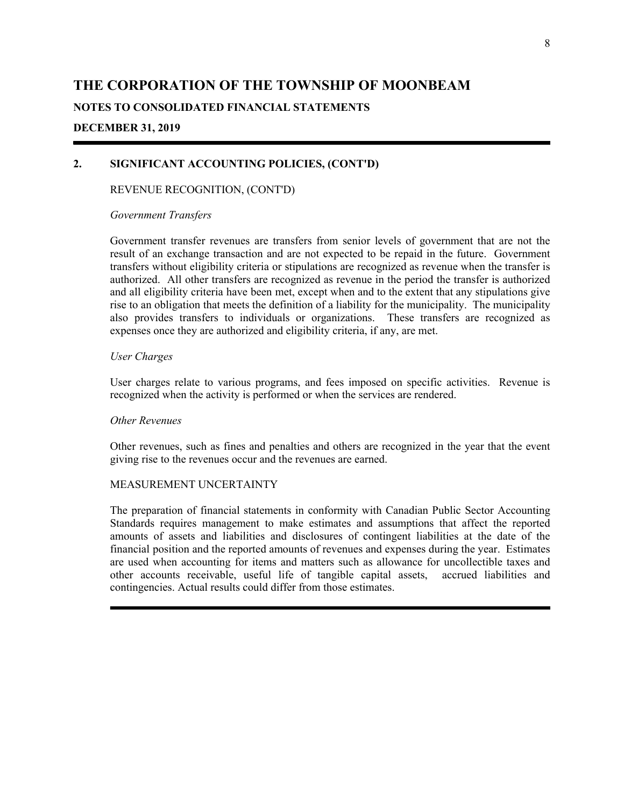## **NOTES TO CONSOLIDATED FINANCIAL STATEMENTS**

## **DECEMBER 31, 2019**

## **2. SIGNIFICANT ACCOUNTING POLICIES, (CONT'D)**

## REVENUE RECOGNITION, (CONT'D)

## *Government Transfers*

Government transfer revenues are transfers from senior levels of government that are not the result of an exchange transaction and are not expected to be repaid in the future. Government transfers without eligibility criteria or stipulations are recognized as revenue when the transfer is authorized. All other transfers are recognized as revenue in the period the transfer is authorized and all eligibility criteria have been met, except when and to the extent that any stipulations give rise to an obligation that meets the definition of a liability for the municipality. The municipality also provides transfers to individuals or organizations. These transfers are recognized as expenses once they are authorized and eligibility criteria, if any, are met.

## *User Charges*

User charges relate to various programs, and fees imposed on specific activities. Revenue is recognized when the activity is performed or when the services are rendered.

## *Other Revenues*

Other revenues, such as fines and penalties and others are recognized in the year that the event giving rise to the revenues occur and the revenues are earned.

## MEASUREMENT UNCERTAINTY

The preparation of financial statements in conformity with Canadian Public Sector Accounting Standards requires management to make estimates and assumptions that affect the reported amounts of assets and liabilities and disclosures of contingent liabilities at the date of the financial position and the reported amounts of revenues and expenses during the year. Estimates are used when accounting for items and matters such as allowance for uncollectible taxes and other accounts receivable, useful life of tangible capital assets, accrued liabilities and contingencies. Actual results could differ from those estimates.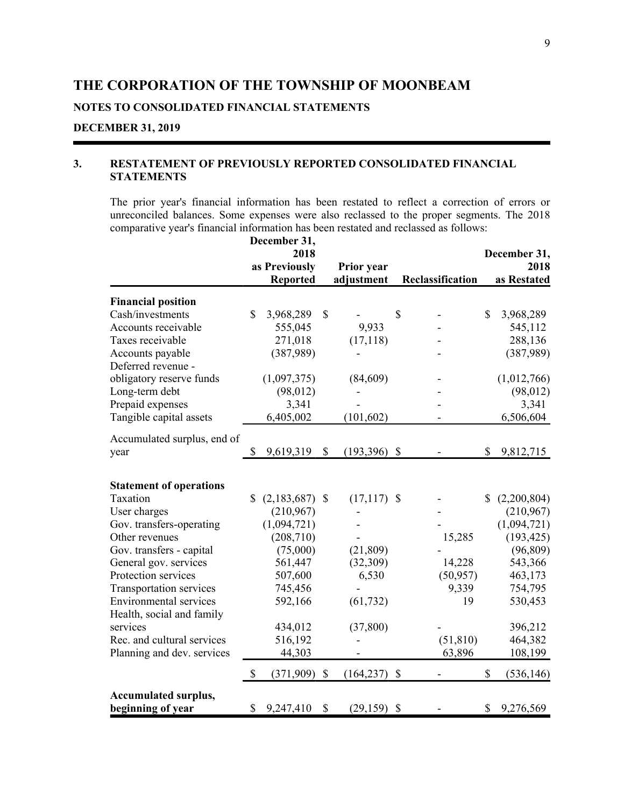# **NOTES TO CONSOLIDATED FINANCIAL STATEMENTS**

## **DECEMBER 31, 2019**

## **3. RESTATEMENT OF PREVIOUSLY REPORTED CONSOLIDATED FINANCIAL STATEMENTS**

The prior year's financial information has been restated to reflect a correction of errors or unreconciled balances. Some expenses were also reclassed to the proper segments. The 2018 comparative year's financial information has been restated and reclassed as follows:  $.21$ 

|                                |               | December 31,<br>2018<br>as Previously<br><b>Reported</b> |              | Prior year<br>adjustment |               | Reclassification | December 31,<br>2018<br>as Restated |
|--------------------------------|---------------|----------------------------------------------------------|--------------|--------------------------|---------------|------------------|-------------------------------------|
|                                |               |                                                          |              |                          |               |                  |                                     |
| <b>Financial position</b>      |               |                                                          |              |                          |               |                  |                                     |
| Cash/investments               | $\mathbf S$   | 3,968,289                                                | $\mathbb{S}$ |                          | $\mathbb{S}$  |                  | \$<br>3,968,289                     |
| Accounts receivable            |               | 555,045                                                  |              | 9,933                    |               |                  | 545,112                             |
| Taxes receivable               |               | 271,018                                                  |              | (17, 118)                |               |                  | 288,136                             |
| Accounts payable               |               | (387,989)                                                |              |                          |               |                  | (387,989)                           |
| Deferred revenue -             |               |                                                          |              |                          |               |                  |                                     |
| obligatory reserve funds       |               | (1,097,375)                                              |              | (84,609)                 |               |                  | (1,012,766)                         |
| Long-term debt                 |               | (98, 012)                                                |              |                          |               |                  | (98, 012)                           |
| Prepaid expenses               |               | 3,341                                                    |              |                          |               |                  | 3,341                               |
| Tangible capital assets        |               | 6,405,002                                                |              | (101, 602)               |               |                  | 6,506,604                           |
| Accumulated surplus, end of    |               |                                                          |              |                          |               |                  |                                     |
|                                | \$            | 9,619,319                                                | \$           | (193,396)                | <sup>\$</sup> |                  | \$<br>9,812,715                     |
| year                           |               |                                                          |              |                          |               |                  |                                     |
|                                |               |                                                          |              |                          |               |                  |                                     |
| <b>Statement of operations</b> |               |                                                          |              |                          |               |                  |                                     |
| Taxation                       | \$            | $(2,183,687)$ \$                                         |              | $(17,117)$ \$            |               |                  | \$<br>(2,200,804)                   |
| User charges                   |               | (210,967)                                                |              |                          |               |                  | (210,967)                           |
| Gov. transfers-operating       |               | (1,094,721)                                              |              |                          |               |                  | (1,094,721)                         |
| Other revenues                 |               | (208, 710)                                               |              |                          |               | 15,285           | (193, 425)                          |
| Gov. transfers - capital       |               | (75,000)                                                 |              | (21, 809)                |               |                  | (96, 809)                           |
| General gov. services          |               | 561,447                                                  |              | (32,309)                 |               | 14,228           | 543,366                             |
| Protection services            |               | 507,600                                                  |              | 6,530                    |               | (50, 957)        | 463,173                             |
| Transportation services        |               | 745,456                                                  |              |                          |               | 9,339            | 754,795                             |
| <b>Environmental services</b>  |               | 592,166                                                  |              | (61, 732)                |               | 19               | 530,453                             |
| Health, social and family      |               |                                                          |              |                          |               |                  |                                     |
| services                       |               | 434,012                                                  |              | (37, 800)                |               |                  | 396,212                             |
| Rec. and cultural services     |               | 516,192                                                  |              |                          |               | (51, 810)        | 464,382                             |
| Planning and dev. services     |               | 44,303                                                   |              |                          |               | 63,896           | 108,199                             |
|                                | $\mathcal{S}$ | (371,909)                                                | \$           | (164, 237)               | \$            |                  | \$<br>(536, 146)                    |
| <b>Accumulated surplus,</b>    |               |                                                          |              |                          |               |                  |                                     |
| beginning of year              | $\mathcal{S}$ | 9,247,410                                                | \$           | $(29,159)$ \$            |               |                  | \$<br>9,276,569                     |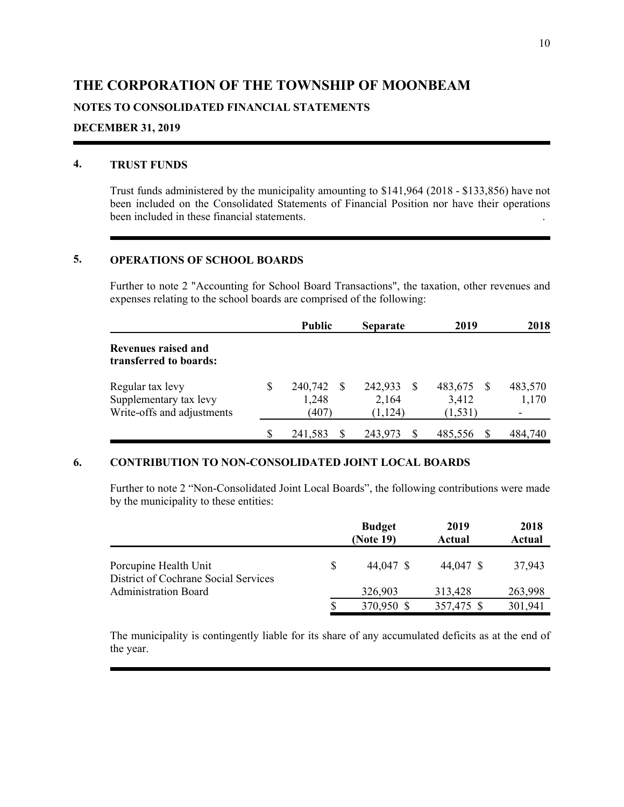## **NOTES TO CONSOLIDATED FINANCIAL STATEMENTS**

## **DECEMBER 31, 2019**

## **4. TRUST FUNDS**

Trust funds administered by the municipality amounting to \$141,964 (2018 - \$133,856) have not been included on the Consolidated Statements of Financial Position nor have their operations been included in these financial statements. .

## **5. OPERATIONS OF SCHOOL BOARDS**

Further to note 2 "Accounting for School Board Transactions", the taxation, other revenues and expenses relating to the school boards are comprised of the following:

|                                                      | <b>Public</b>       | <b>Separate</b>   | 2019              | 2018    |
|------------------------------------------------------|---------------------|-------------------|-------------------|---------|
| <b>Revenues raised and</b><br>transferred to boards: |                     |                   |                   |         |
| Regular tax levy                                     | \$<br>240,742<br>-S | 242,933<br>-S     | 483,675<br>- S    | 483,570 |
| Supplementary tax levy<br>Write-offs and adjustments | 1,248<br>(407)      | 2,164<br>(1, 124) | 3,412<br>(1, 531) | 1,170   |
|                                                      | 241,583             | 243,973           | 485,556           | 484,740 |

## **6. CONTRIBUTION TO NON-CONSOLIDATED JOINT LOCAL BOARDS**

Further to note 2 "Non-Consolidated Joint Local Boards", the following contributions were made by the municipality to these entities:

|                                                               |    | <b>Budget</b><br>(Note 19) | 2019<br>Actual | 2018<br>Actual |
|---------------------------------------------------------------|----|----------------------------|----------------|----------------|
| Porcupine Health Unit<br>District of Cochrane Social Services | S. | 44,047 \$                  | 44,047 \$      | 37,943         |
| <b>Administration Board</b>                                   |    | 326,903                    | 313,428        | 263,998        |
|                                                               | S  | 370,950 \$                 | 357,475 \$     | 301,941        |

The municipality is contingently liable for its share of any accumulated deficits as at the end of the year.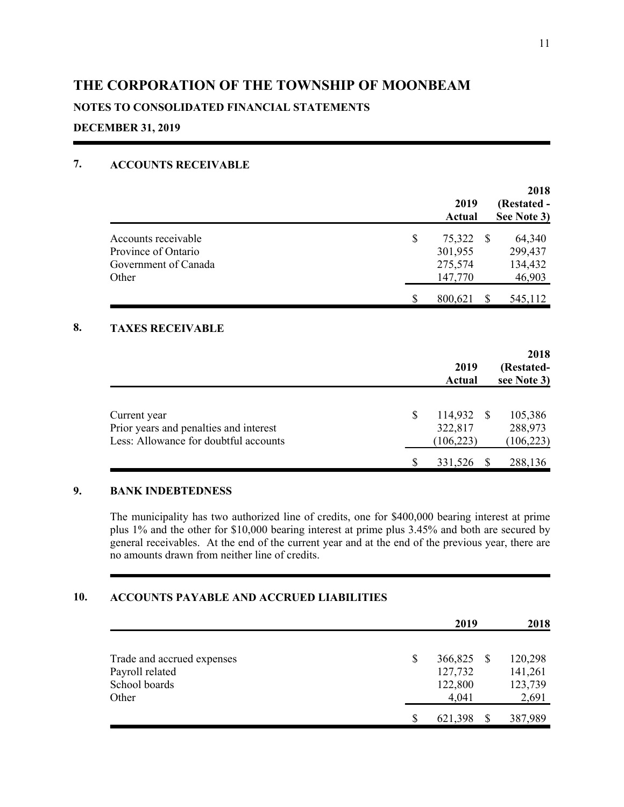## **NOTES TO CONSOLIDATED FINANCIAL STATEMENTS**

## **DECEMBER 31, 2019**

# **7. ACCOUNTS RECEIVABLE**

|                                                                                 |               | 2019<br>Actual        |               | 2018<br>(Restated -<br>See Note 3)           |
|---------------------------------------------------------------------------------|---------------|-----------------------|---------------|----------------------------------------------|
| Accounts receivable                                                             | \$            | 75,322                | <sup>\$</sup> | 64,340                                       |
| Province of Ontario                                                             |               | 301,955               |               | 299,437                                      |
| Government of Canada                                                            |               | 275,574               |               | 134,432                                      |
| Other                                                                           |               | 147,770               |               | 46,903                                       |
|                                                                                 | <b>S</b>      | 800,621               | \$            | 545,112                                      |
|                                                                                 |               |                       |               |                                              |
|                                                                                 |               | 2019<br><b>Actual</b> |               |                                              |
| Current year                                                                    | $\mathcal{S}$ | 114,932               | <sup>\$</sup> | 105,386                                      |
|                                                                                 |               | 322,817               |               | 2018<br>(Restated-<br>see Note 3)<br>288,973 |
| Prior years and penalties and interest<br>Less: Allowance for doubtful accounts |               | (106, 223)            |               | (106, 223)                                   |

## **9. BANK INDEBTEDNESS**

The municipality has two authorized line of credits, one for \$400,000 bearing interest at prime plus 1% and the other for \$10,000 bearing interest at prime plus 3.45% and both are secured by general receivables. At the end of the current year and at the end of the previous year, there are no amounts drawn from neither line of credits.

# **10. ACCOUNTS PAYABLE AND ACCRUED LIABILITIES**

|                                                                         | 2019                                         |     | 2018                                   |
|-------------------------------------------------------------------------|----------------------------------------------|-----|----------------------------------------|
| Trade and accrued expenses<br>Payroll related<br>School boards<br>Other | \$<br>366,825<br>127,732<br>122,800<br>4,041 | - S | 120,298<br>141,261<br>123,739<br>2,691 |
|                                                                         | 621,398                                      |     | 387,989                                |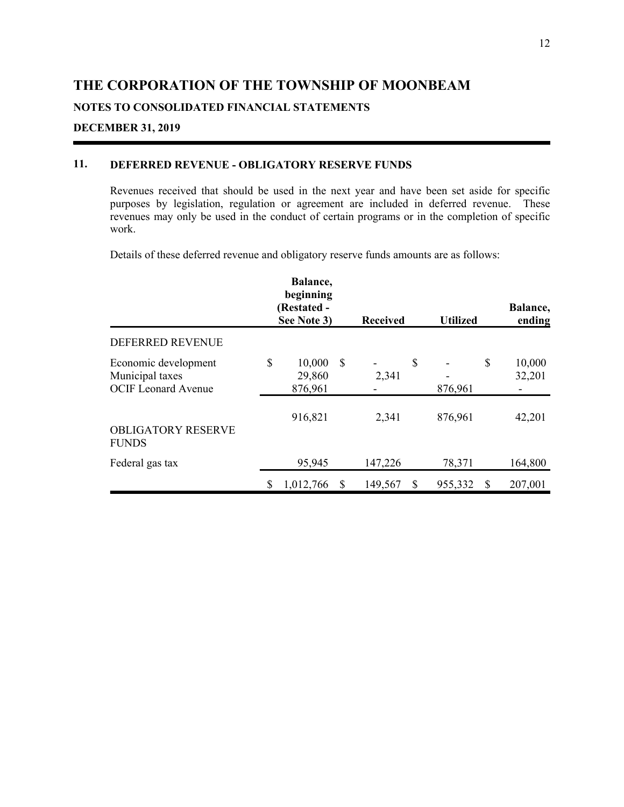## **NOTES TO CONSOLIDATED FINANCIAL STATEMENTS**

**DECEMBER 31, 2019**

## **11. DEFERRED REVENUE - OBLIGATORY RESERVE FUNDS**

Revenues received that should be used in the next year and have been set aside for specific purposes by legislation, regulation or agreement are included in deferred revenue. These revenues may only be used in the conduct of certain programs or in the completion of specific work.

Details of these deferred revenue and obligatory reserve funds amounts are as follows:

|                                                                       | Balance,<br>beginning<br>(Restated -<br>See Note 3) |               | <b>Received</b> |    | <b>Utilized</b> | Balance,<br>ending     |
|-----------------------------------------------------------------------|-----------------------------------------------------|---------------|-----------------|----|-----------------|------------------------|
| DEFERRED REVENUE                                                      |                                                     |               |                 |    |                 |                        |
| Economic development<br>Municipal taxes<br><b>OCIF</b> Leonard Avenue | \$<br>10,000<br>29,860<br>876,961                   | <sup>\$</sup> | 2,341           | \$ | 876,961         | \$<br>10,000<br>32,201 |
| <b>OBLIGATORY RESERVE</b><br><b>FUNDS</b>                             | 916,821                                             |               | 2,341           |    | 876,961         | 42,201                 |
| Federal gas tax                                                       | 95,945                                              |               | 147,226         |    | 78,371          | 164,800                |
|                                                                       | 1,012,766                                           | S             | 149,567         | S  | 955,332         | \$<br>207,001          |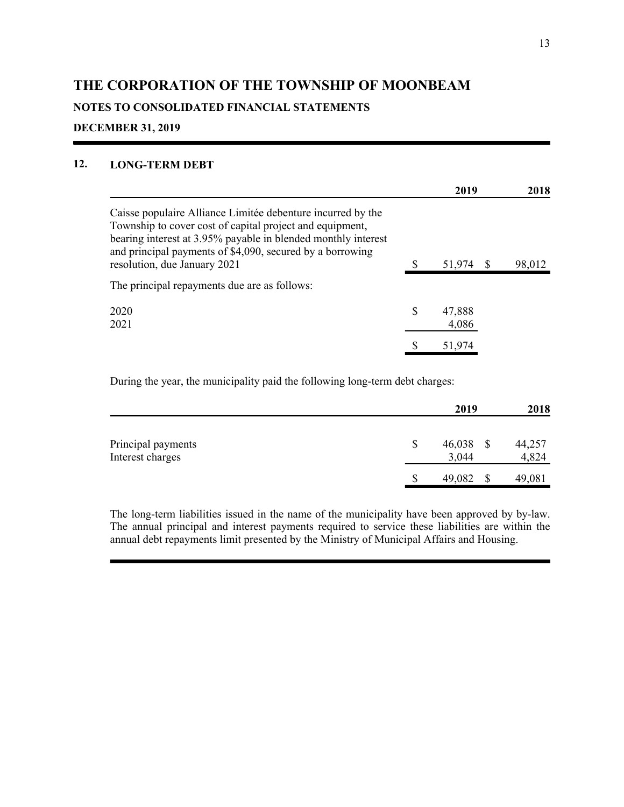## **NOTES TO CONSOLIDATED FINANCIAL STATEMENTS**

## **DECEMBER 31, 2019**

# **12. LONG-TERM DEBT**

|                                                                                                                                                                                                                                                                                       | 2019                  | 2018   |
|---------------------------------------------------------------------------------------------------------------------------------------------------------------------------------------------------------------------------------------------------------------------------------------|-----------------------|--------|
| Caisse populaire Alliance Limitée debenture incurred by the<br>Township to cover cost of capital project and equipment,<br>bearing interest at 3.95% payable in blended monthly interest<br>and principal payments of \$4,090, secured by a borrowing<br>resolution, due January 2021 | 51,974                | 98,012 |
| The principal repayments due are as follows:                                                                                                                                                                                                                                          |                       |        |
| 2020<br>2021                                                                                                                                                                                                                                                                          | \$<br>47,888<br>4,086 |        |
|                                                                                                                                                                                                                                                                                       | 51,974                |        |

During the year, the municipality paid the following long-term debt charges:

|                                        |    | 2019            | 2018 |                 |  |
|----------------------------------------|----|-----------------|------|-----------------|--|
| Principal payments<br>Interest charges | \$ | 46,038<br>3,044 | -\$  | 44,257<br>4,824 |  |
|                                        | S  | 49,082          | \$   | 49,081          |  |

The long-term liabilities issued in the name of the municipality have been approved by by-law. The annual principal and interest payments required to service these liabilities are within the annual debt repayments limit presented by the Ministry of Municipal Affairs and Housing.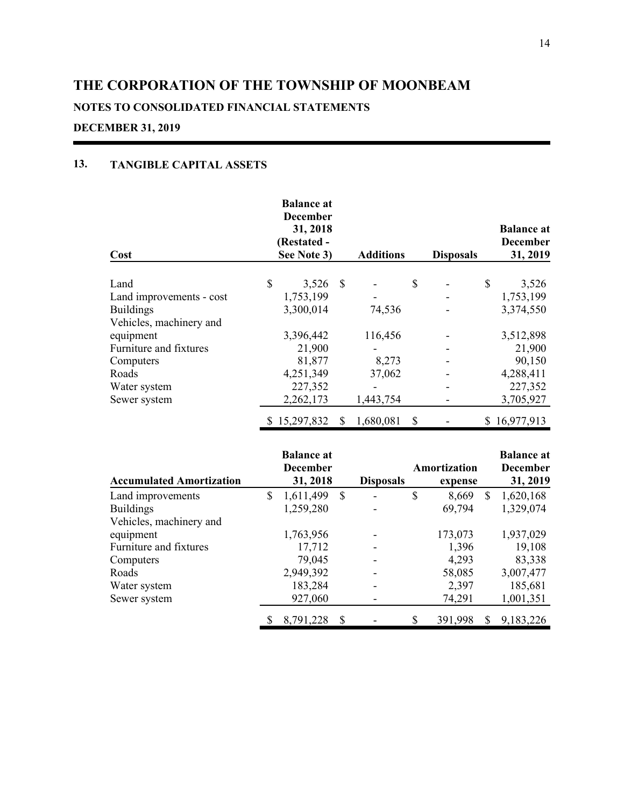# **NOTES TO CONSOLIDATED FINANCIAL STATEMENTS**

## **DECEMBER 31, 2019**

# **13. TANGIBLE CAPITAL ASSETS**

| Cost                     | <b>Balance at</b><br><b>December</b><br>31, 2018<br>(Restated -<br>See Note 3) |          | <b>Additions</b> | <b>Disposals</b> |               | <b>Balance at</b><br><b>December</b><br>31, 2019 |
|--------------------------|--------------------------------------------------------------------------------|----------|------------------|------------------|---------------|--------------------------------------------------|
| Land                     | \$<br>3,526                                                                    | - \$     |                  | \$               | $\mathcal{S}$ | 3,526                                            |
| Land improvements - cost | 1,753,199                                                                      |          |                  |                  |               | 1,753,199                                        |
| <b>Buildings</b>         | 3,300,014                                                                      |          | 74,536           |                  |               | 3,374,550                                        |
| Vehicles, machinery and  |                                                                                |          |                  |                  |               |                                                  |
| equipment                | 3,396,442                                                                      |          | 116,456          |                  |               | 3,512,898                                        |
| Furniture and fixtures   | 21,900                                                                         |          |                  |                  |               | 21,900                                           |
| Computers                | 81,877                                                                         |          | 8,273            |                  |               | 90,150                                           |
| Roads                    | 4,251,349                                                                      |          | 37,062           |                  |               | 4,288,411                                        |
| Water system             | 227,352                                                                        |          |                  |                  |               | 227,352                                          |
| Sewer system             | 2,262,173                                                                      |          | 1,443,754        |                  |               | 3,705,927                                        |
|                          | \$15,297,832                                                                   | <b>S</b> | 1,680,081        | \$               |               | \$16,977,913                                     |

| <b>Accumulated Amortization</b> | <b>Balance</b> at<br><b>December</b><br>31, 2018 |   | <b>Disposals</b> | Amortization<br>expense |     | <b>Balance</b> at<br><b>December</b><br>31, 2019 |
|---------------------------------|--------------------------------------------------|---|------------------|-------------------------|-----|--------------------------------------------------|
| Land improvements               | \$<br>1,611,499                                  | S |                  | \$<br>8,669             | \$  | 1,620,168                                        |
| <b>Buildings</b>                | 1,259,280                                        |   |                  | 69,794                  |     | 1,329,074                                        |
| Vehicles, machinery and         |                                                  |   |                  |                         |     |                                                  |
| equipment                       | 1,763,956                                        |   |                  | 173,073                 |     | 1,937,029                                        |
| Furniture and fixtures          | 17,712                                           |   |                  | 1,396                   |     | 19,108                                           |
| Computers                       | 79,045                                           |   |                  | 4,293                   |     | 83,338                                           |
| Roads                           | 2,949,392                                        |   |                  | 58,085                  |     | 3,007,477                                        |
| Water system                    | 183,284                                          |   | -                | 2,397                   |     | 185,681                                          |
| Sewer system                    | 927,060                                          |   |                  | 74,291                  |     | 1,001,351                                        |
|                                 | 8,791,228                                        | S |                  | \$<br>391,998           | \$. | 9,183,226                                        |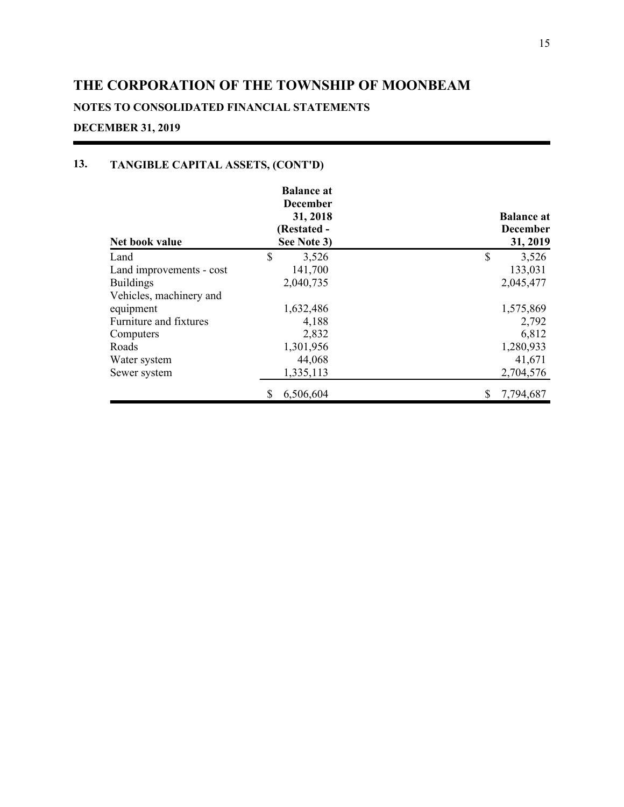# **NOTES TO CONSOLIDATED FINANCIAL STATEMENTS**

## **DECEMBER 31, 2019**

# **13. TANGIBLE CAPITAL ASSETS, (CONT'D)**

| Net book value           | <b>Balance at</b><br><b>December</b><br>31, 2018<br>(Restated -<br>See Note 3) | <b>Balance at</b><br><b>December</b><br>31, 2019 |
|--------------------------|--------------------------------------------------------------------------------|--------------------------------------------------|
| Land                     | \$<br>3,526                                                                    | \$<br>3,526                                      |
| Land improvements - cost | 141,700                                                                        | 133,031                                          |
| <b>Buildings</b>         | 2,040,735                                                                      | 2,045,477                                        |
| Vehicles, machinery and  |                                                                                |                                                  |
| equipment                | 1,632,486                                                                      | 1,575,869                                        |
| Furniture and fixtures   | 4,188                                                                          | 2,792                                            |
| Computers                | 2,832                                                                          | 6,812                                            |
| Roads                    | 1,301,956                                                                      | 1,280,933                                        |
| Water system             | 44,068                                                                         | 41,671                                           |
| Sewer system             | 1,335,113                                                                      | 2,704,576                                        |
|                          | 6,506,604                                                                      | 7,794,687<br>\$                                  |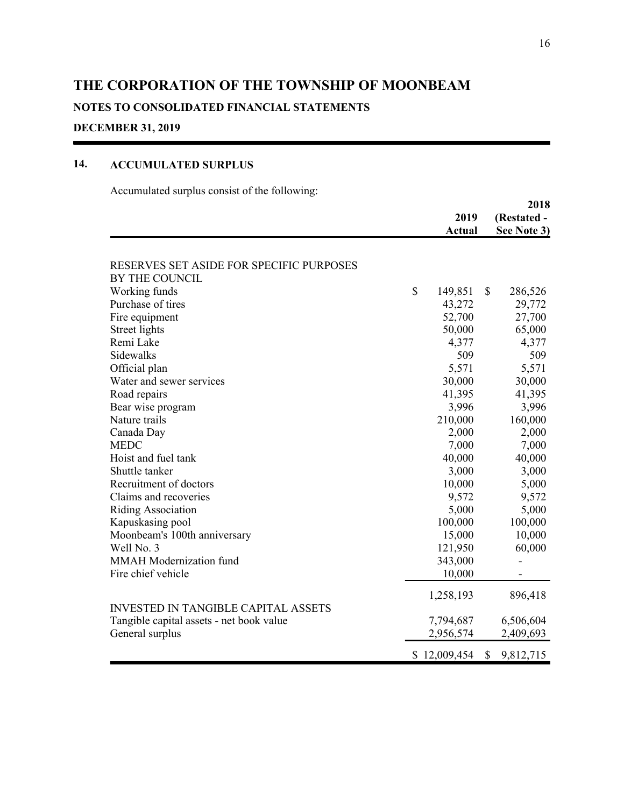# **NOTES TO CONSOLIDATED FINANCIAL STATEMENTS**

## **DECEMBER 31, 2019**

# **14. ACCUMULATED SURPLUS**

Accumulated surplus consist of the following:

|                                            |              | 2019<br><b>Actual</b> | 2018<br>(Restated -<br>See Note 3) |
|--------------------------------------------|--------------|-----------------------|------------------------------------|
|                                            |              |                       |                                    |
| RESERVES SET ASIDE FOR SPECIFIC PURPOSES   |              |                       |                                    |
| BY THE COUNCIL                             |              |                       |                                    |
| Working funds                              | $\mathbb{S}$ | 149,851               | \$<br>286,526                      |
| Purchase of tires                          |              | 43,272                | 29,772                             |
| Fire equipment                             |              | 52,700                | 27,700                             |
| Street lights                              |              | 50,000                | 65,000                             |
| Remi Lake                                  |              | 4,377                 | 4,377                              |
| Sidewalks                                  |              | 509                   | 509                                |
| Official plan                              |              | 5,571                 | 5,571                              |
| Water and sewer services                   |              | 30,000                | 30,000                             |
| Road repairs                               |              | 41,395                | 41,395                             |
| Bear wise program                          |              | 3,996                 | 3,996                              |
| Nature trails                              |              | 210,000               | 160,000                            |
| Canada Day                                 |              | 2,000                 | 2,000                              |
| <b>MEDC</b>                                |              | 7,000                 | 7,000                              |
| Hoist and fuel tank                        |              | 40,000                | 40,000                             |
| Shuttle tanker                             |              | 3,000                 | 3,000                              |
| Recruitment of doctors                     |              | 10,000                | 5,000                              |
| Claims and recoveries                      |              | 9,572                 | 9,572                              |
| Riding Association                         |              | 5,000                 | 5,000                              |
| Kapuskasing pool                           |              | 100,000               | 100,000                            |
| Moonbeam's 100th anniversary               |              | 15,000                | 10,000                             |
| Well No. 3                                 |              | 121,950               | 60,000                             |
| MMAH Modernization fund                    |              | 343,000               |                                    |
| Fire chief vehicle                         |              | 10,000                |                                    |
|                                            |              | 1,258,193             | 896,418                            |
| <b>INVESTED IN TANGIBLE CAPITAL ASSETS</b> |              |                       |                                    |
| Tangible capital assets - net book value   |              | 7,794,687             | 6,506,604                          |
| General surplus                            |              | 2,956,574             | 2,409,693                          |
|                                            |              | \$12,009,454          | \$<br>9,812,715                    |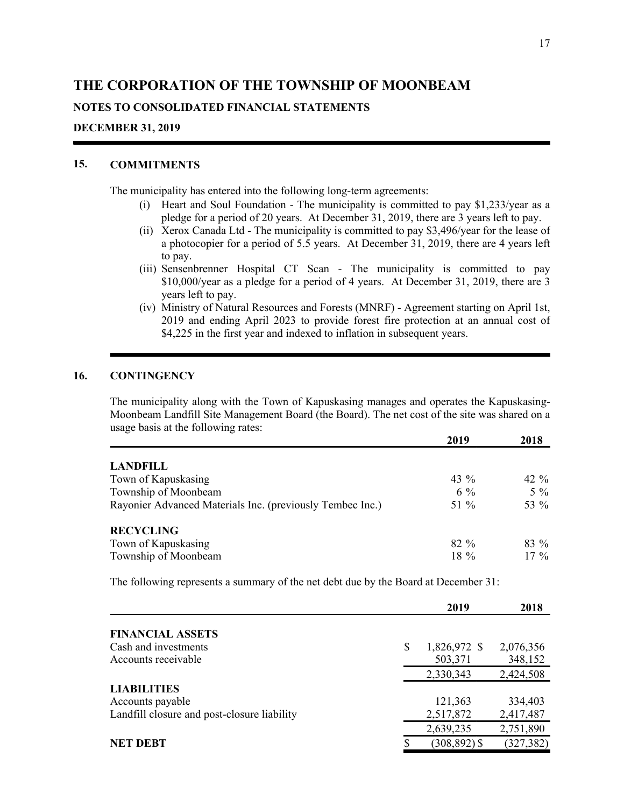## **NOTES TO CONSOLIDATED FINANCIAL STATEMENTS**

## **DECEMBER 31, 2019**

## **15. COMMITMENTS**

The municipality has entered into the following long-term agreements:

- (i) Heart and Soul Foundation The municipality is committed to pay \$1,233/year as a pledge for a period of 20 years. At December 31, 2019, there are 3 years left to pay.
- (ii) Xerox Canada Ltd The municipality is committed to pay \$3,496/year for the lease of a photocopier for a period of 5.5 years. At December 31, 2019, there are 4 years left to pay.
- (iii) Sensenbrenner Hospital CT Scan The municipality is committed to pay \$10,000/year as a pledge for a period of 4 years. At December 31, 2019, there are 3 years left to pay.
- (iv) Ministry of Natural Resources and Forests (MNRF) Agreement starting on April 1st, 2019 and ending April 2023 to provide forest fire protection at an annual cost of \$4,225 in the first year and indexed to inflation in subsequent years.

## **16. CONTINGENCY**

The municipality along with the Town of Kapuskasing manages and operates the Kapuskasing-Moonbeam Landfill Site Management Board (the Board). The net cost of the site was shared on a usage basis at the following rates:

|                                                           | 2019    | 2018   |
|-----------------------------------------------------------|---------|--------|
| <b>LANDFILL</b>                                           |         |        |
| Town of Kapuskasing                                       | 43 $\%$ | 42 %   |
| Township of Moonbeam                                      | $6\%$   | $5\%$  |
| Rayonier Advanced Materials Inc. (previously Tembec Inc.) | 51 %    | 53 %   |
| <b>RECYCLING</b>                                          |         |        |
| Town of Kapuskasing                                       | $82\%$  | 83 %   |
| Township of Moonbeam                                      | $18\%$  | $17\%$ |

The following represents a summary of the net debt due by the Board at December 31:

|                                             | 2019               | 2018       |
|---------------------------------------------|--------------------|------------|
|                                             |                    |            |
| <b>FINANCIAL ASSETS</b>                     |                    |            |
| Cash and investments                        | \$<br>1,826,972 \$ | 2,076,356  |
| Accounts receivable                         | 503,371            | 348,152    |
|                                             | 2,330,343          | 2,424,508  |
| <b>LIABILITIES</b>                          |                    |            |
| Accounts payable                            | 121,363            | 334,403    |
| Landfill closure and post-closure liability | 2,517,872          | 2,417,487  |
|                                             | 2,639,235          | 2,751,890  |
| <b>NET DEBT</b>                             | $(308, 892)$ \$    | (327, 382) |
|                                             |                    |            |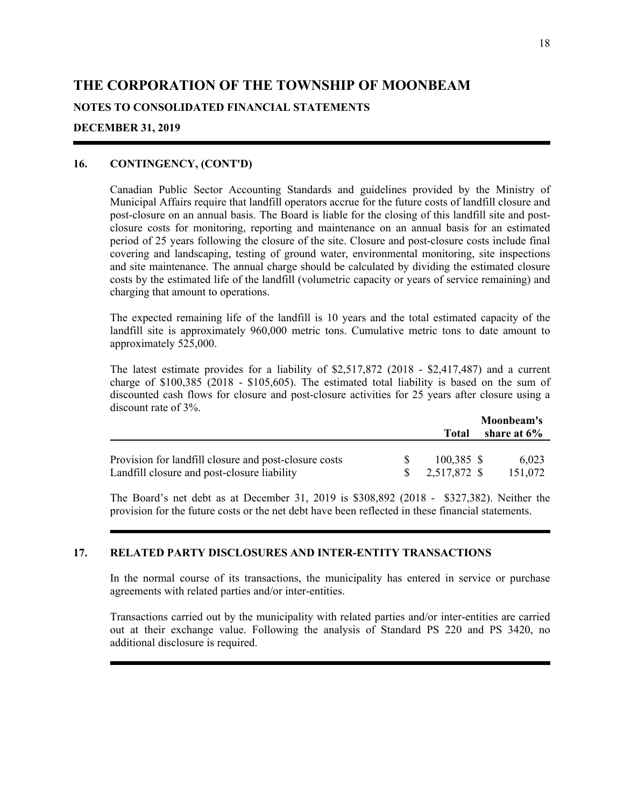## **NOTES TO CONSOLIDATED FINANCIAL STATEMENTS**

## **DECEMBER 31, 2019**

## **16. CONTINGENCY, (CONT'D)**

Canadian Public Sector Accounting Standards and guidelines provided by the Ministry of Municipal Affairs require that landfill operators accrue for the future costs of landfill closure and post-closure on an annual basis. The Board is liable for the closing of this landfill site and postclosure costs for monitoring, reporting and maintenance on an annual basis for an estimated period of 25 years following the closure of the site. Closure and post-closure costs include final covering and landscaping, testing of ground water, environmental monitoring, site inspections and site maintenance. The annual charge should be calculated by dividing the estimated closure costs by the estimated life of the landfill (volumetric capacity or years of service remaining) and charging that amount to operations.

The expected remaining life of the landfill is 10 years and the total estimated capacity of the landfill site is approximately 960,000 metric tons. Cumulative metric tons to date amount to approximately 525,000.

The latest estimate provides for a liability of \$2,517,872 (2018 - \$2,417,487) and a current charge of \$100,385 (2018 - \$105,605). The estimated total liability is based on the sum of discounted cash flows for closure and post-closure activities for 25 years after closure using a discount rate of 3%.

|                                                                                                      |                           | Moonbeam's       |
|------------------------------------------------------------------------------------------------------|---------------------------|------------------|
|                                                                                                      | Total                     | share at $6\%$   |
| Provision for landfill closure and post-closure costs<br>Landfill closure and post-closure liability | 100.385 S<br>2,517,872 \$ | 6,023<br>151.072 |

The Board's net debt as at December 31, 2019 is \$308,892 (2018 - \$327,382). Neither the provision for the future costs or the net debt have been reflected in these financial statements.

## **17. RELATED PARTY DISCLOSURES AND INTER-ENTITY TRANSACTIONS**

In the normal course of its transactions, the municipality has entered in service or purchase agreements with related parties and/or inter-entities.

Transactions carried out by the municipality with related parties and/or inter-entities are carried out at their exchange value. Following the analysis of Standard PS 220 and PS 3420, no additional disclosure is required.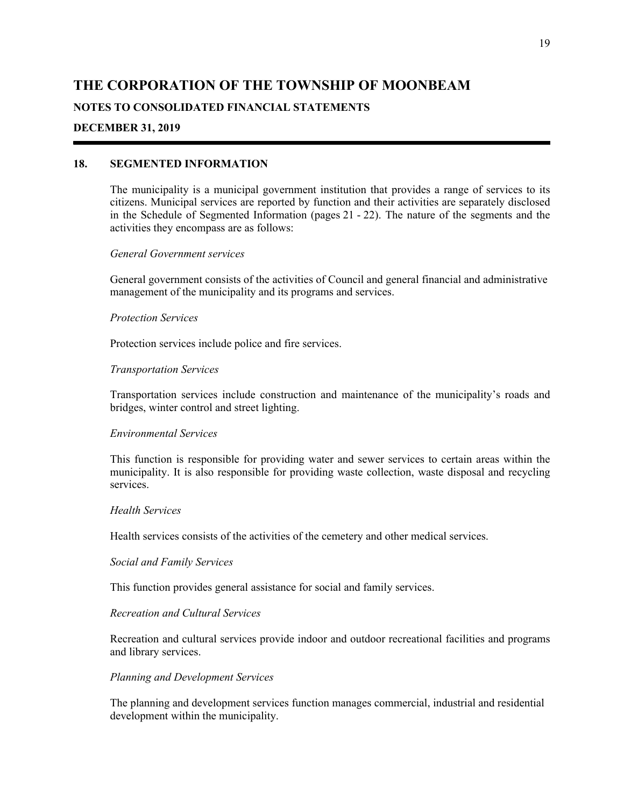## **NOTES TO CONSOLIDATED FINANCIAL STATEMENTS**

## **DECEMBER 31, 2019**

## **18. SEGMENTED INFORMATION**

The municipality is a municipal government institution that provides a range of services to its citizens. Municipal services are reported by function and their activities are separately disclosed in the Schedule of Segmented Information (pages 21 - 22). The nature of the segments and the activities they encompass are as follows:

## *General Government services*

General government consists of the activities of Council and general financial and administrative management of the municipality and its programs and services.

#### *Protection Services*

Protection services include police and fire services.

#### *Transportation Services*

Transportation services include construction and maintenance of the municipality's roads and bridges, winter control and street lighting.

#### *Environmental Services*

This function is responsible for providing water and sewer services to certain areas within the municipality. It is also responsible for providing waste collection, waste disposal and recycling services.

## *Health Services*

Health services consists of the activities of the cemetery and other medical services.

#### *Social and Family Services*

This function provides general assistance for social and family services.

#### *Recreation and Cultural Services*

Recreation and cultural services provide indoor and outdoor recreational facilities and programs and library services.

#### *Planning and Development Services*

The planning and development services function manages commercial, industrial and residential development within the municipality.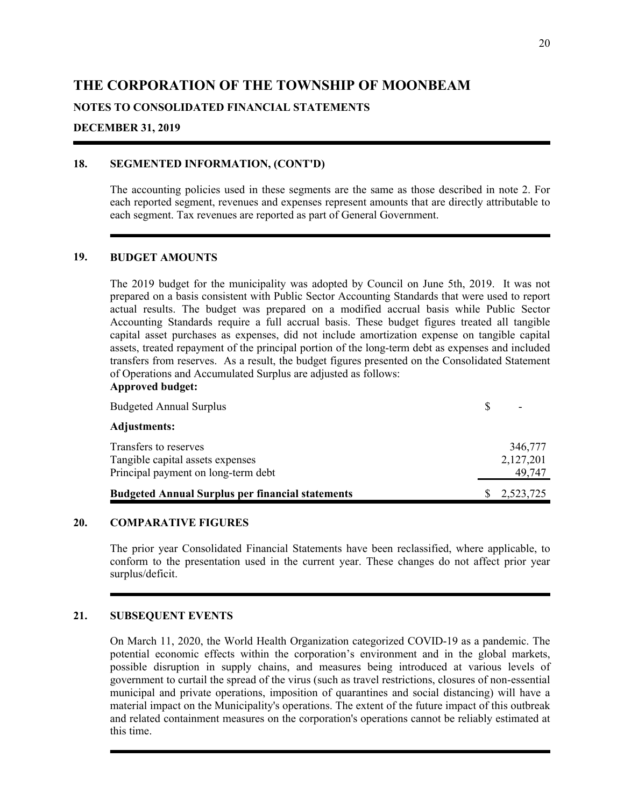## **NOTES TO CONSOLIDATED FINANCIAL STATEMENTS**

## **DECEMBER 31, 2019**

## **18. SEGMENTED INFORMATION, (CONT'D)**

The accounting policies used in these segments are the same as those described in note 2. For each reported segment, revenues and expenses represent amounts that are directly attributable to each segment. Tax revenues are reported as part of General Government.

## **19. BUDGET AMOUNTS**

The 2019 budget for the municipality was adopted by Council on June 5th, 2019. It was not prepared on a basis consistent with Public Sector Accounting Standards that were used to report actual results. The budget was prepared on a modified accrual basis while Public Sector Accounting Standards require a full accrual basis. These budget figures treated all tangible capital asset purchases as expenses, did not include amortization expense on tangible capital assets, treated repayment of the principal portion of the long-term debt as expenses and included transfers from reserves. As a result, the budget figures presented on the Consolidated Statement of Operations and Accumulated Surplus are adjusted as follows: **Approved budget:**

| <b>Budgeted Annual Surplus</b>                          |           |
|---------------------------------------------------------|-----------|
| Adjustments:                                            |           |
| Transfers to reserves                                   | 346,777   |
| Tangible capital assets expenses                        | 2,127,201 |
| Principal payment on long-term debt                     | 49,747    |
| <b>Budgeted Annual Surplus per financial statements</b> | 2,523,725 |

## **20. COMPARATIVE FIGURES**

The prior year Consolidated Financial Statements have been reclassified, where applicable, to conform to the presentation used in the current year. These changes do not affect prior year surplus/deficit.

## **21. SUBSEQUENT EVENTS**

On March 11, 2020, the World Health Organization categorized COVID-19 as a pandemic. The potential economic effects within the corporation's environment and in the global markets, possible disruption in supply chains, and measures being introduced at various levels of government to curtail the spread of the virus (such as travel restrictions, closures of non-essential municipal and private operations, imposition of quarantines and social distancing) will have a material impact on the Municipality's operations. The extent of the future impact of this outbreak and related containment measures on the corporation's operations cannot be reliably estimated at this time.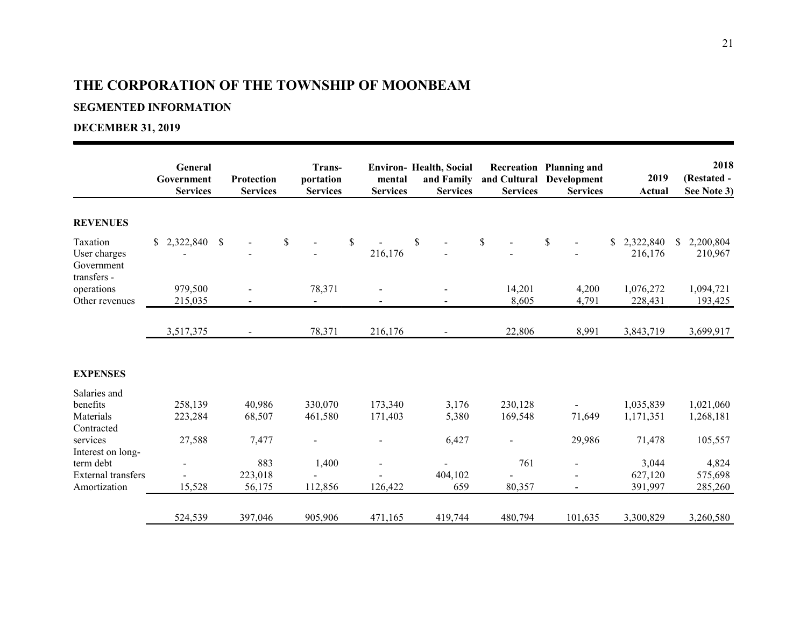## **SEGMENTED INFORMATION**

|                                           |    | General<br>Government<br><b>Services</b> | Protection<br><b>Services</b> | Trans-<br>portation<br><b>Services</b> |              | mental<br><b>Services</b> |               | <b>Environ- Health, Social</b><br>and Family<br><b>Services</b> |      | <b>Recreation Planning and</b><br>and Cultural<br><b>Services</b> | Development<br><b>Services</b> | 2019<br>Actual |     | 2018<br>(Restated -<br>See Note 3) |
|-------------------------------------------|----|------------------------------------------|-------------------------------|----------------------------------------|--------------|---------------------------|---------------|-----------------------------------------------------------------|------|-------------------------------------------------------------------|--------------------------------|----------------|-----|------------------------------------|
| <b>REVENUES</b>                           |    |                                          |                               |                                        |              |                           |               |                                                                 |      |                                                                   |                                |                |     |                                    |
| Taxation                                  | S. | 2,322,840 \$                             |                               | \$<br>$\blacksquare$                   | $\mathbb{S}$ |                           | $\mathsf{\$}$ |                                                                 | $\$$ |                                                                   | \$<br>$\blacksquare$           | \$2,322,840    | \$. | 2,200,804                          |
| User charges<br>Government<br>transfers - |    |                                          |                               |                                        |              | 216,176                   |               |                                                                 |      |                                                                   |                                | 216,176        |     | 210,967                            |
| operations                                |    | 979,500                                  |                               | 78,371                                 |              | $\blacksquare$            |               |                                                                 |      | 14,201                                                            | 4,200                          | 1,076,272      |     | 1,094,721                          |
| Other revenues                            |    | 215,035                                  |                               |                                        |              |                           |               |                                                                 |      | 8,605                                                             | 4,791                          | 228,431        |     | 193,425                            |
|                                           |    | 3,517,375                                |                               | 78,371                                 |              | 216,176                   |               | $\blacksquare$                                                  |      | 22,806                                                            | 8,991                          | 3,843,719      |     | 3,699,917                          |
|                                           |    |                                          |                               |                                        |              |                           |               |                                                                 |      |                                                                   |                                |                |     |                                    |
| <b>EXPENSES</b>                           |    |                                          |                               |                                        |              |                           |               |                                                                 |      |                                                                   |                                |                |     |                                    |
| Salaries and                              |    |                                          |                               |                                        |              |                           |               |                                                                 |      |                                                                   |                                |                |     |                                    |
| benefits                                  |    | 258,139                                  | 40,986                        | 330,070                                |              | 173,340                   |               | 3,176                                                           |      | 230,128                                                           |                                | 1,035,839      |     | 1,021,060                          |
| Materials                                 |    | 223,284                                  | 68,507                        | 461,580                                |              | 171,403                   |               | 5,380                                                           |      | 169,548                                                           | 71,649                         | 1,171,351      |     | 1,268,181                          |
| Contracted                                |    |                                          |                               |                                        |              |                           |               |                                                                 |      |                                                                   |                                |                |     |                                    |
| services<br>Interest on long-             |    | 27,588                                   | 7,477                         | $\blacksquare$                         |              |                           |               | 6,427                                                           |      |                                                                   | 29,986                         | 71,478         |     | 105,557                            |
| term debt                                 |    |                                          | 883                           | 1,400                                  |              |                           |               |                                                                 |      | 761                                                               |                                | 3,044          |     | 4,824                              |
| External transfers                        |    |                                          | 223,018                       |                                        |              |                           |               | 404,102                                                         |      |                                                                   |                                | 627,120        |     | 575,698                            |
| Amortization                              |    | 15,528                                   | 56,175                        | 112,856                                |              | 126,422                   |               | 659                                                             |      | 80,357                                                            |                                | 391,997        |     | 285,260                            |
|                                           |    | 524,539                                  | 397,046                       | 905,906                                |              | 471,165                   |               | 419,744                                                         |      | 480,794                                                           | 101,635                        | 3,300,829      |     | 3,260,580                          |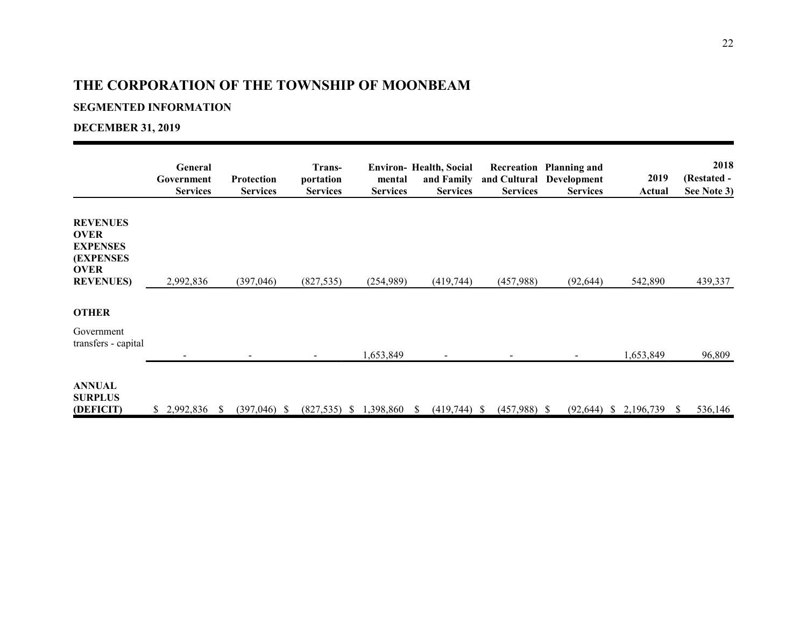## **SEGMENTED INFORMATION**

|                                                                                                            | General<br>Government<br><b>Services</b> | Protection<br><b>Services</b> | Trans-<br>portation<br><b>Services</b> | mental<br><b>Services</b> |              | <b>Environ- Health, Social</b><br><b>Services</b> | <b>Recreation Planning and</b><br>and Family and Cultural Development<br><b>Services</b> | <b>Services</b> | 2019<br>Actual |              | 2018<br>(Restated -<br>See Note 3) |
|------------------------------------------------------------------------------------------------------------|------------------------------------------|-------------------------------|----------------------------------------|---------------------------|--------------|---------------------------------------------------|------------------------------------------------------------------------------------------|-----------------|----------------|--------------|------------------------------------|
| <b>REVENUES</b><br><b>OVER</b><br><b>EXPENSES</b><br><b>(EXPENSES)</b><br><b>OVER</b><br><b>REVENUES</b> ) | 2,992,836                                | (397, 046)                    | (827, 535)                             | (254,989)                 |              | (419, 744)                                        | (457,988)                                                                                | (92, 644)       | 542,890        |              | 439,337                            |
| <b>OTHER</b><br>Government<br>transfers - capital                                                          |                                          |                               |                                        | 1,653,849                 |              |                                                   |                                                                                          |                 | 1,653,849      |              | 96,809                             |
| <b>ANNUAL</b><br><b>SURPLUS</b><br>(DEFICIT)                                                               | $$2,992,836$ \;                          | $(397,046)$ \$                | $(827,535)$ \$                         | 1,398,860                 | $\mathbb{S}$ | $(419,744)$ \$                                    | $(457,988)$ \$                                                                           | $(92, 644)$ \$  | 2,196,739      | <sup>S</sup> | 536,146                            |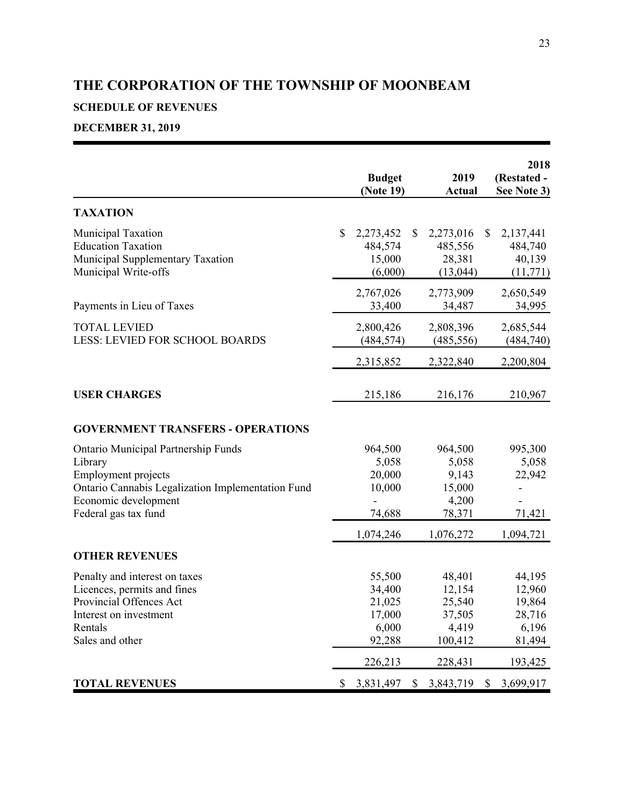# **SCHEDULE OF REVENUES**

|                                                                                                                                                                                   | <b>Budget</b><br>(Note 19)                                         |              | 2019<br><b>Actual</b>                                               |               | 2018<br>(Restated -<br>See Note 3)                                 |
|-----------------------------------------------------------------------------------------------------------------------------------------------------------------------------------|--------------------------------------------------------------------|--------------|---------------------------------------------------------------------|---------------|--------------------------------------------------------------------|
| <b>TAXATION</b>                                                                                                                                                                   |                                                                    |              |                                                                     |               |                                                                    |
| Municipal Taxation<br><b>Education Taxation</b><br>Municipal Supplementary Taxation<br>Municipal Write-offs                                                                       | \$<br>2,273,452<br>484,574<br>15,000<br>(6,000)                    | \$           | 2,273,016<br>485,556<br>28,381<br>(13,044)                          | <sup>\$</sup> | 2,137,441<br>484,740<br>40,139<br>(11,771)                         |
| Payments in Lieu of Taxes                                                                                                                                                         | 2,767,026<br>33,400                                                |              | 2,773,909<br>34,487                                                 |               | 2,650,549<br>34,995                                                |
| <b>TOTAL LEVIED</b><br><b>LESS: LEVIED FOR SCHOOL BOARDS</b>                                                                                                                      | 2,800,426<br>(484, 574)                                            |              | 2,808,396<br>(485, 556)                                             |               | 2,685,544<br>(484,740)                                             |
|                                                                                                                                                                                   | 2,315,852                                                          |              | 2,322,840                                                           |               | 2,200,804                                                          |
| <b>USER CHARGES</b>                                                                                                                                                               | 215,186                                                            |              | 216,176                                                             |               | 210,967                                                            |
| <b>GOVERNMENT TRANSFERS - OPERATIONS</b>                                                                                                                                          |                                                                    |              |                                                                     |               |                                                                    |
| Ontario Municipal Partnership Funds<br>Library<br><b>Employment</b> projects<br>Ontario Cannabis Legalization Implementation Fund<br>Economic development<br>Federal gas tax fund | 964,500<br>5,058<br>20,000<br>10,000<br>74,688<br>1,074,246        |              | 964,500<br>5,058<br>9,143<br>15,000<br>4,200<br>78,371<br>1,076,272 |               | 995,300<br>5,058<br>22,942<br>71,421<br>1,094,721                  |
| <b>OTHER REVENUES</b>                                                                                                                                                             |                                                                    |              |                                                                     |               |                                                                    |
| Penalty and interest on taxes<br>Licences, permits and fines<br>Provincial Offences Act<br>Interest on investment<br>Rentals<br>Sales and other                                   | 55,500<br>34,400<br>21,025<br>17,000<br>6,000<br>92,288<br>226,213 |              | 48,401<br>12,154<br>25,540<br>37,505<br>4,419<br>100,412<br>228,431 |               | 44,195<br>12,960<br>19,864<br>28,716<br>6,196<br>81,494<br>193,425 |
| <b>TOTAL REVENUES</b>                                                                                                                                                             | \$<br>3,831,497                                                    | $\mathbb{S}$ | 3,843,719                                                           | $\mathbb{S}$  | 3,699,917                                                          |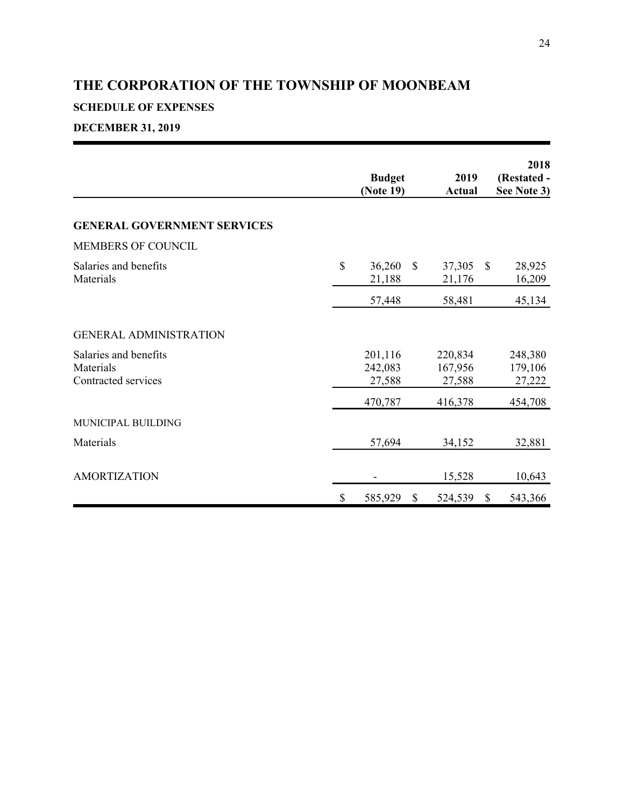# **SCHEDULE OF EXPENSES**

|                                                           | <b>Budget</b><br>(Note 19)   | 2019<br><b>Actual</b>             | 2018<br>(Restated -<br>See Note 3) |
|-----------------------------------------------------------|------------------------------|-----------------------------------|------------------------------------|
| <b>GENERAL GOVERNMENT SERVICES</b>                        |                              |                                   |                                    |
| MEMBERS OF COUNCIL                                        |                              |                                   |                                    |
| Salaries and benefits<br>Materials                        | \$<br>36,260<br>21,188       | $\mathcal{S}$<br>37,305<br>21,176 | $\mathbb{S}$<br>28,925<br>16,209   |
|                                                           | 57,448                       | 58,481                            | 45,134                             |
| <b>GENERAL ADMINISTRATION</b>                             |                              |                                   |                                    |
| Salaries and benefits<br>Materials<br>Contracted services | 201,116<br>242,083<br>27,588 | 220,834<br>167,956<br>27,588      | 248,380<br>179,106<br>27,222       |
|                                                           | 470,787                      | 416,378                           | 454,708                            |
| <b>MUNICIPAL BUILDING</b>                                 |                              |                                   |                                    |
| Materials                                                 | 57,694                       | 34,152                            | 32,881                             |
| <b>AMORTIZATION</b>                                       |                              | 15,528                            | 10,643                             |
|                                                           | \$<br>585,929                | \$<br>524,539                     | \$<br>543,366                      |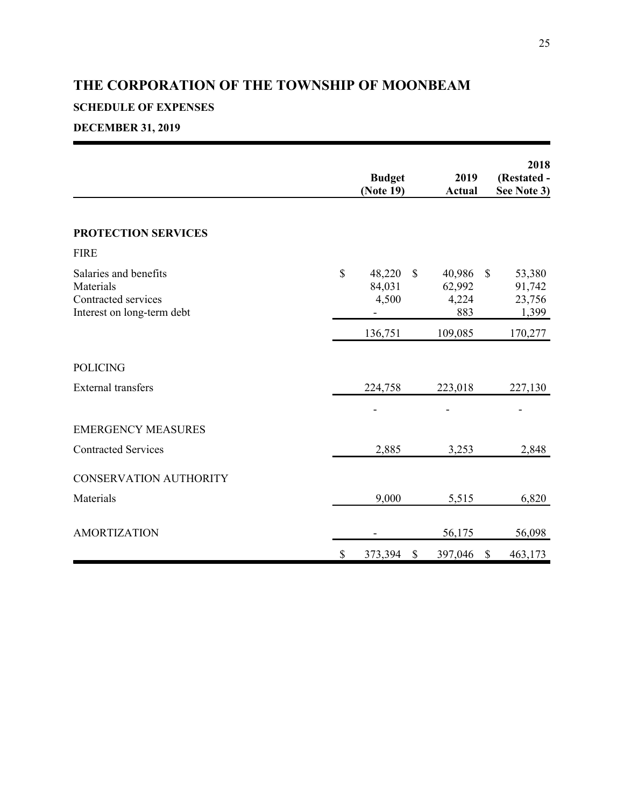# **SCHEDULE OF EXPENSES**

|                                                                                         |              | <b>Budget</b><br>(Note 19) |          | 2019<br><b>Actual</b>            |                           | 2018<br>(Restated -<br>See Note 3)  |
|-----------------------------------------------------------------------------------------|--------------|----------------------------|----------|----------------------------------|---------------------------|-------------------------------------|
|                                                                                         |              |                            |          |                                  |                           |                                     |
| PROTECTION SERVICES                                                                     |              |                            |          |                                  |                           |                                     |
| <b>FIRE</b>                                                                             |              |                            |          |                                  |                           |                                     |
| Salaries and benefits<br>Materials<br>Contracted services<br>Interest on long-term debt | \$           | 48,220<br>84,031<br>4,500  | - \$     | 40,986<br>62,992<br>4,224<br>883 | $\mathcal{S}$             | 53,380<br>91,742<br>23,756<br>1,399 |
|                                                                                         |              | 136,751                    |          | 109,085                          |                           | 170,277                             |
| <b>POLICING</b>                                                                         |              |                            |          |                                  |                           |                                     |
| <b>External transfers</b>                                                               |              | 224,758                    |          | 223,018                          |                           | 227,130                             |
|                                                                                         |              |                            |          |                                  |                           |                                     |
| <b>EMERGENCY MEASURES</b>                                                               |              |                            |          |                                  |                           |                                     |
| <b>Contracted Services</b>                                                              |              | 2,885                      |          | 3,253                            |                           | 2,848                               |
| <b>CONSERVATION AUTHORITY</b>                                                           |              |                            |          |                                  |                           |                                     |
| Materials                                                                               |              | 9,000                      |          | 5,515                            |                           | 6,820                               |
| <b>AMORTIZATION</b>                                                                     |              |                            |          | 56,175                           |                           | 56,098                              |
|                                                                                         | $\mathbb{S}$ | 373,394                    | <b>S</b> | 397,046                          | $\boldsymbol{\mathsf{S}}$ | 463,173                             |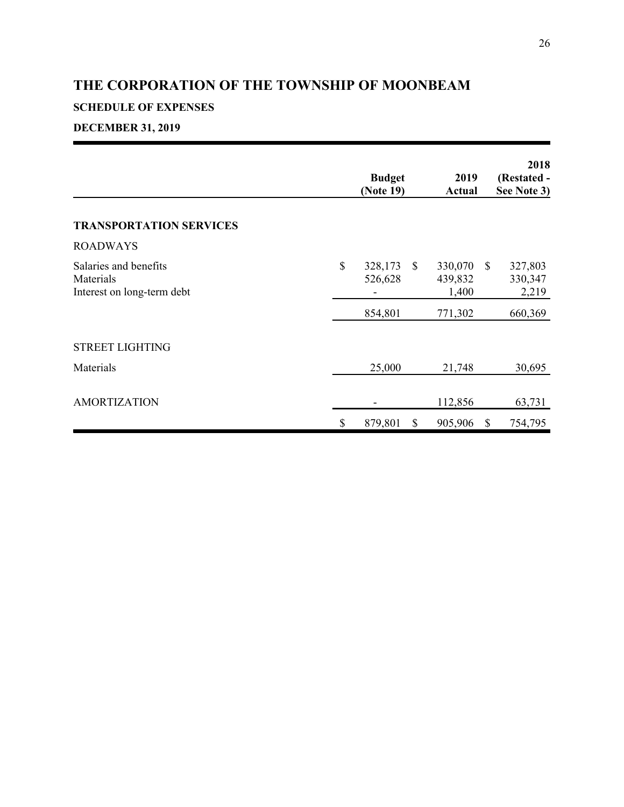# **SCHEDULE OF EXPENSES**

|                                                                  | <b>Budget</b><br>(Note 19) | 2019<br><b>Actual</b>             |              | 2018<br>(Restated -<br>See Note 3) |
|------------------------------------------------------------------|----------------------------|-----------------------------------|--------------|------------------------------------|
| <b>TRANSPORTATION SERVICES</b>                                   |                            |                                   |              |                                    |
| <b>ROADWAYS</b>                                                  |                            |                                   |              |                                    |
| Salaries and benefits<br>Materials<br>Interest on long-term debt | \$<br>328,173<br>526,628   | \$<br>330,070<br>439,832<br>1,400 | $\mathbb{S}$ | 327,803<br>330,347<br>2,219        |
|                                                                  | 854,801                    | 771,302                           |              | 660,369                            |
| <b>STREET LIGHTING</b>                                           |                            |                                   |              |                                    |
| Materials                                                        | 25,000                     | 21,748                            |              | 30,695                             |
| <b>AMORTIZATION</b>                                              |                            | 112,856                           |              | 63,731                             |
|                                                                  | \$<br>879,801              | \$<br>905,906                     | \$           | 754,795                            |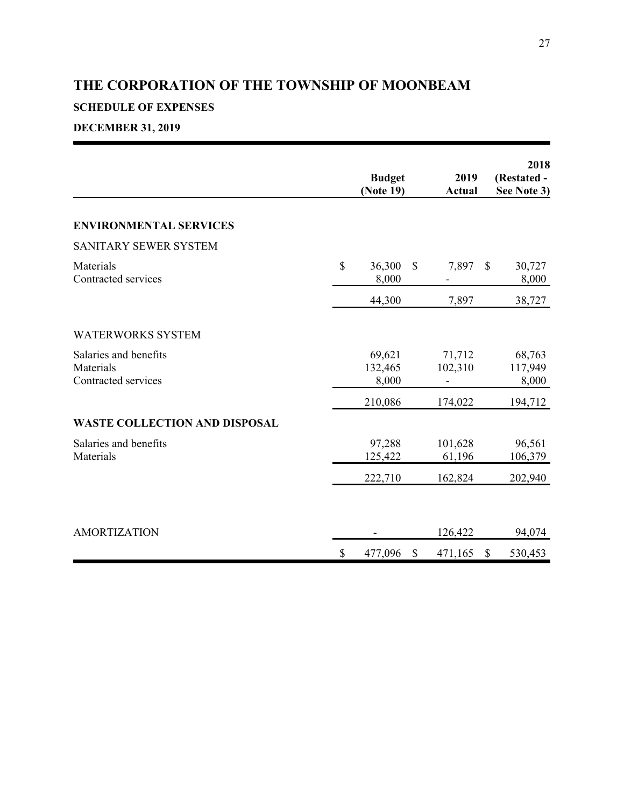# **SCHEDULE OF EXPENSES**

|                                                           |              | <b>Budget</b><br>(Note 19)       | 2019<br><b>Actual</b>                         | 2018<br>(Restated -<br>See Note 3) |
|-----------------------------------------------------------|--------------|----------------------------------|-----------------------------------------------|------------------------------------|
| <b>ENVIRONMENTAL SERVICES</b>                             |              |                                  |                                               |                                    |
| SANITARY SEWER SYSTEM                                     |              |                                  |                                               |                                    |
| Materials<br>Contracted services                          | $\mathbb{S}$ | 36,300<br>$\mathcal{S}$<br>8,000 | 7,897<br>$\overline{\phantom{a}}$             | 30,727<br>$\mathcal{S}$<br>8,000   |
|                                                           |              | 44,300                           | 7,897                                         | 38,727                             |
| <b>WATERWORKS SYSTEM</b>                                  |              |                                  |                                               |                                    |
| Salaries and benefits<br>Materials<br>Contracted services |              | 69,621<br>132,465<br>8,000       | 71,712<br>102,310<br>$\overline{\phantom{a}}$ | 68,763<br>117,949<br>8,000         |
|                                                           |              | 210,086                          | 174,022                                       | 194,712                            |
| <b>WASTE COLLECTION AND DISPOSAL</b>                      |              |                                  |                                               |                                    |
| Salaries and benefits<br>Materials                        |              | 97,288<br>125,422                | 101,628<br>61,196                             | 96,561<br>106,379                  |
|                                                           |              | 222,710                          | 162,824                                       | 202,940                            |
|                                                           |              |                                  |                                               |                                    |
| <b>AMORTIZATION</b>                                       |              |                                  | 126,422                                       | 94,074                             |
|                                                           | $\$$         | 477,096<br>\$                    | 471,165                                       | \$<br>530,453                      |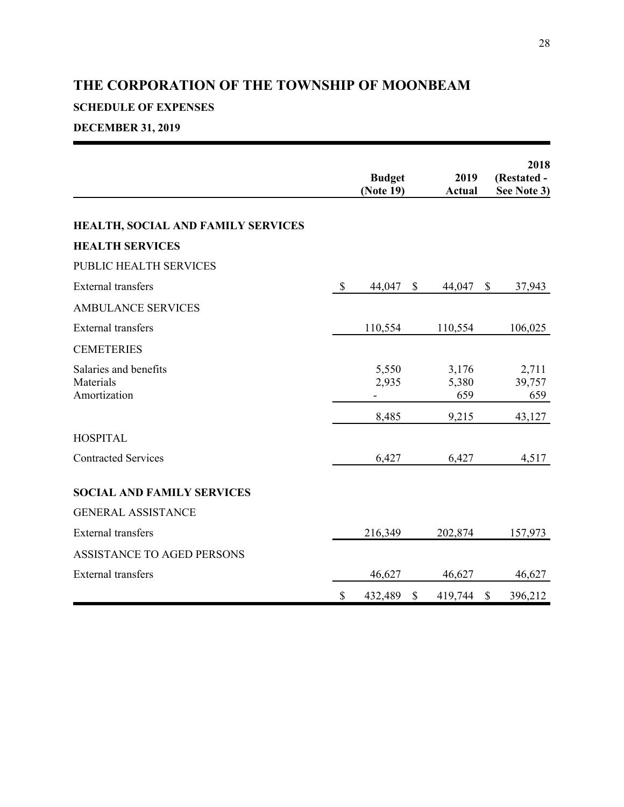# **SCHEDULE OF EXPENSES**

|                                    |              | <b>Budget</b><br>(Note 19) | 2019<br><b>Actual</b>    |                           | 2018<br>(Restated -<br>See Note 3) |
|------------------------------------|--------------|----------------------------|--------------------------|---------------------------|------------------------------------|
|                                    |              |                            |                          |                           |                                    |
| HEALTH, SOCIAL AND FAMILY SERVICES |              |                            |                          |                           |                                    |
| <b>HEALTH SERVICES</b>             |              |                            |                          |                           |                                    |
| PUBLIC HEALTH SERVICES             |              |                            |                          |                           |                                    |
| <b>External transfers</b>          | $\mathbb{S}$ | 44,047                     | \$<br>44,047             | \$                        | 37,943                             |
| <b>AMBULANCE SERVICES</b>          |              |                            |                          |                           |                                    |
| <b>External transfers</b>          |              | 110,554                    | 110,554                  |                           | 106,025                            |
| <b>CEMETERIES</b>                  |              |                            |                          |                           |                                    |
| Salaries and benefits              |              | 5,550                      | 3,176                    |                           | 2,711                              |
| Materials                          |              | 2,935                      | 5,380                    |                           | 39,757                             |
| Amortization                       |              |                            | 659                      |                           | 659                                |
|                                    |              | 8,485                      | 9,215                    |                           | 43,127                             |
| <b>HOSPITAL</b>                    |              |                            |                          |                           |                                    |
| <b>Contracted Services</b>         |              | 6,427                      | 6,427                    |                           | 4,517                              |
| <b>SOCIAL AND FAMILY SERVICES</b>  |              |                            |                          |                           |                                    |
| <b>GENERAL ASSISTANCE</b>          |              |                            |                          |                           |                                    |
| <b>External transfers</b>          |              | 216,349                    | 202,874                  |                           | 157,973                            |
| <b>ASSISTANCE TO AGED PERSONS</b>  |              |                            |                          |                           |                                    |
| <b>External transfers</b>          |              | 46,627                     | 46,627                   |                           | 46,627                             |
|                                    | $\mathbf S$  | 432,489                    | $\mathcal{S}$<br>419,744 | $\boldsymbol{\mathsf{S}}$ | 396,212                            |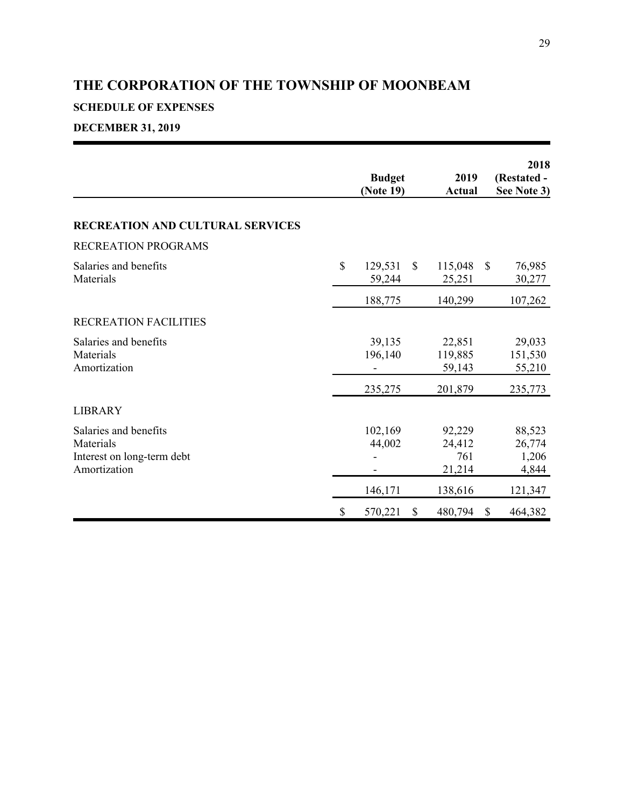# **SCHEDULE OF EXPENSES**

|                                                                                  | <b>Budget</b><br>(Note 19) |               | 2019<br><b>Actual</b>             |               | 2018<br>(Restated -<br>See Note 3) |
|----------------------------------------------------------------------------------|----------------------------|---------------|-----------------------------------|---------------|------------------------------------|
| <b>RECREATION AND CULTURAL SERVICES</b>                                          |                            |               |                                   |               |                                    |
| RECREATION PROGRAMS                                                              |                            |               |                                   |               |                                    |
| Salaries and benefits<br>Materials                                               | \$<br>129,531<br>59,244    | $\mathcal{S}$ | 115,048<br>25,251                 | $\mathcal{S}$ | 76,985<br>30,277                   |
|                                                                                  | 188,775                    |               | 140,299                           |               | 107,262                            |
| <b>RECREATION FACILITIES</b>                                                     |                            |               |                                   |               |                                    |
| Salaries and benefits<br>Materials<br>Amortization                               | 39,135<br>196,140          |               | 22,851<br>119,885<br>59,143       |               | 29,033<br>151,530<br>55,210        |
|                                                                                  | 235,275                    |               | 201,879                           |               | 235,773                            |
| <b>LIBRARY</b>                                                                   |                            |               |                                   |               |                                    |
| Salaries and benefits<br>Materials<br>Interest on long-term debt<br>Amortization | 102,169<br>44,002          |               | 92,229<br>24,412<br>761<br>21,214 |               | 88,523<br>26,774<br>1,206<br>4,844 |
|                                                                                  | 146,171                    |               | 138,616                           |               | 121,347                            |
|                                                                                  | \$<br>570,221              | \$            | 480,794                           | \$            | 464,382                            |